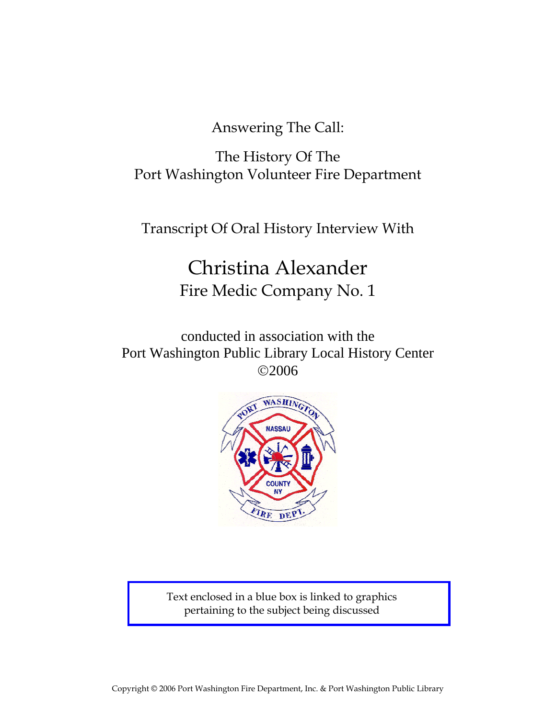Answering The Call:

The History Of The Port Washington Volunteer Fire Department

Transcript Of Oral History Interview With

# Christina Alexander Fire Medic Company No. 1

conducted in association with the Port Washington Public Library Local History Center ©2006



Text enclosed in a blue box is linked to graphics pertaining to the subject being discussed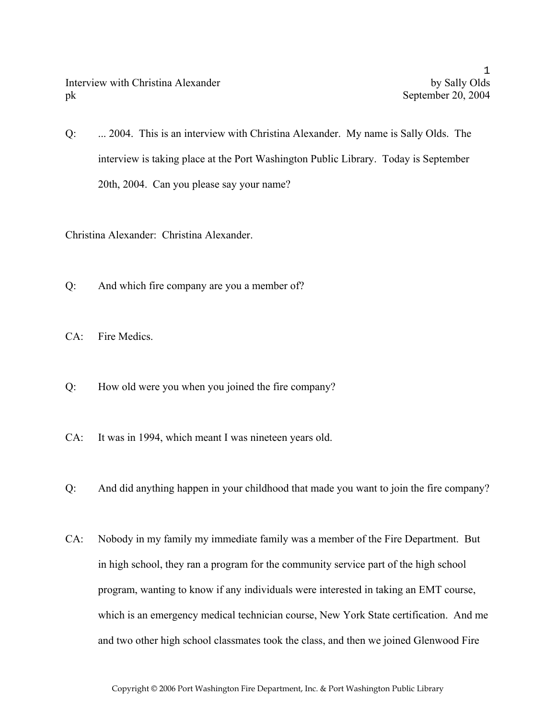Q: ... 2004. This is an interview with Christina Alexander. My name is Sally Olds. The interview is taking place at the Port Washington Public Library. Today is September 20th, 2004. Can you please say your name?

Christina Alexander: Christina Alexander.

- Q: And which fire company are you a member of?
- CA: Fire Medics.
- Q: How old were you when you joined the fire company?
- CA: It was in 1994, which meant I was nineteen years old.
- Q: And did anything happen in your childhood that made you want to join the fire company?
- CA: Nobody in my family my immediate family was a member of the Fire Department. But in high school, they ran a program for the community service part of the high school program, wanting to know if any individuals were interested in taking an EMT course, which is an emergency medical technician course, New York State certification. And me and two other high school classmates took the class, and then we joined Glenwood Fire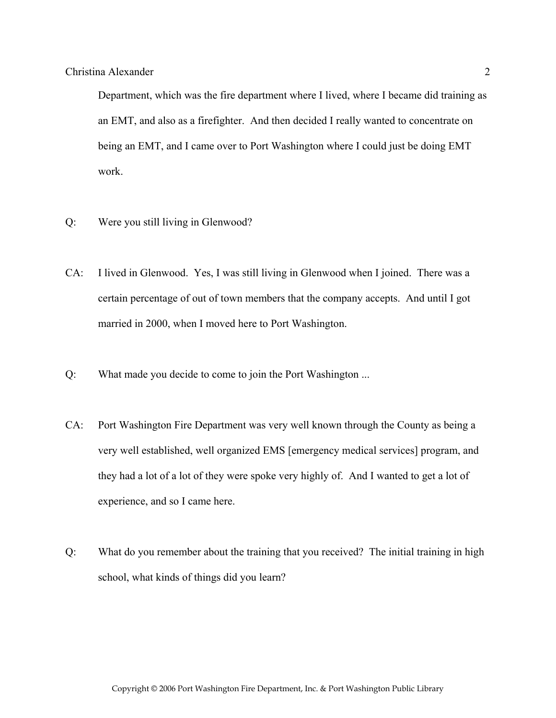Department, which was the fire department where I lived, where I became did training as an EMT, and also as a firefighter. And then decided I really wanted to concentrate on being an EMT, and I came over to Port Washington where I could just be doing EMT work.

- Q: Were you still living in Glenwood?
- CA: I lived in Glenwood. Yes, I was still living in Glenwood when I joined. There was a certain percentage of out of town members that the company accepts. And until I got married in 2000, when I moved here to Port Washington.
- Q: What made you decide to come to join the Port Washington ...
- CA: Port Washington Fire Department was very well known through the County as being a very well established, well organized EMS [emergency medical services] program, and they had a lot of a lot of they were spoke very highly of. And I wanted to get a lot of experience, and so I came here.
- Q: What do you remember about the training that you received? The initial training in high school, what kinds of things did you learn?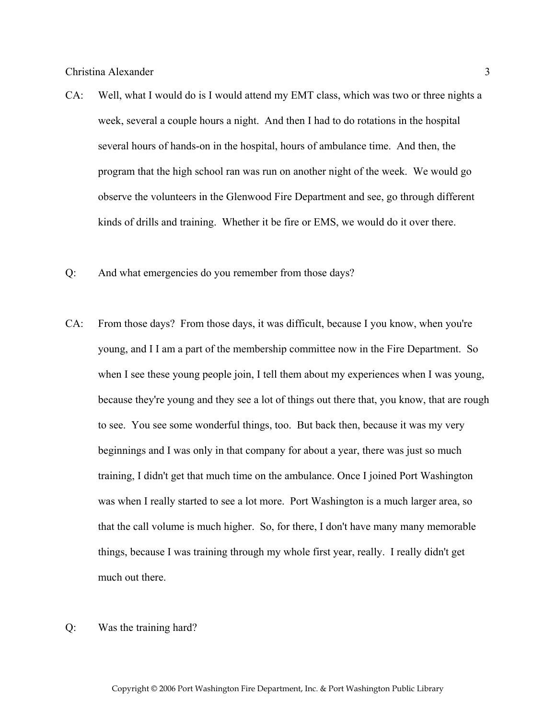- CA: Well, what I would do is I would attend my EMT class, which was two or three nights a week, several a couple hours a night. And then I had to do rotations in the hospital several hours of hands-on in the hospital, hours of ambulance time. And then, the program that the high school ran was run on another night of the week. We would go observe the volunteers in the Glenwood Fire Department and see, go through different kinds of drills and training. Whether it be fire or EMS, we would do it over there.
- Q: And what emergencies do you remember from those days?
- CA: From those days? From those days, it was difficult, because I you know, when you're young, and I I am a part of the membership committee now in the Fire Department. So when I see these young people join, I tell them about my experiences when I was young, because they're young and they see a lot of things out there that, you know, that are rough to see. You see some wonderful things, too. But back then, because it was my very beginnings and I was only in that company for about a year, there was just so much training, I didn't get that much time on the ambulance. Once I joined Port Washington was when I really started to see a lot more. Port Washington is a much larger area, so that the call volume is much higher. So, for there, I don't have many many memorable things, because I was training through my whole first year, really. I really didn't get much out there.
- Q: Was the training hard?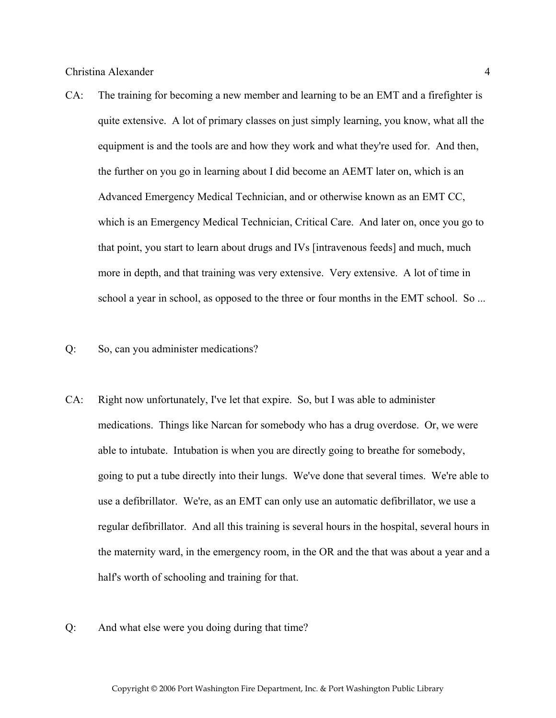- CA: The training for becoming a new member and learning to be an EMT and a firefighter is quite extensive. A lot of primary classes on just simply learning, you know, what all the equipment is and the tools are and how they work and what they're used for. And then, the further on you go in learning about I did become an AEMT later on, which is an Advanced Emergency Medical Technician, and or otherwise known as an EMT CC, which is an Emergency Medical Technician, Critical Care. And later on, once you go to that point, you start to learn about drugs and IVs [intravenous feeds] and much, much more in depth, and that training was very extensive. Very extensive. A lot of time in school a year in school, as opposed to the three or four months in the EMT school. So ...
- Q: So, can you administer medications?
- CA: Right now unfortunately, I've let that expire. So, but I was able to administer medications. Things like Narcan for somebody who has a drug overdose. Or, we were able to intubate. Intubation is when you are directly going to breathe for somebody, going to put a tube directly into their lungs. We've done that several times. We're able to use a defibrillator. We're, as an EMT can only use an automatic defibrillator, we use a regular defibrillator. And all this training is several hours in the hospital, several hours in the maternity ward, in the emergency room, in the OR and the that was about a year and a half's worth of schooling and training for that.
- Q: And what else were you doing during that time?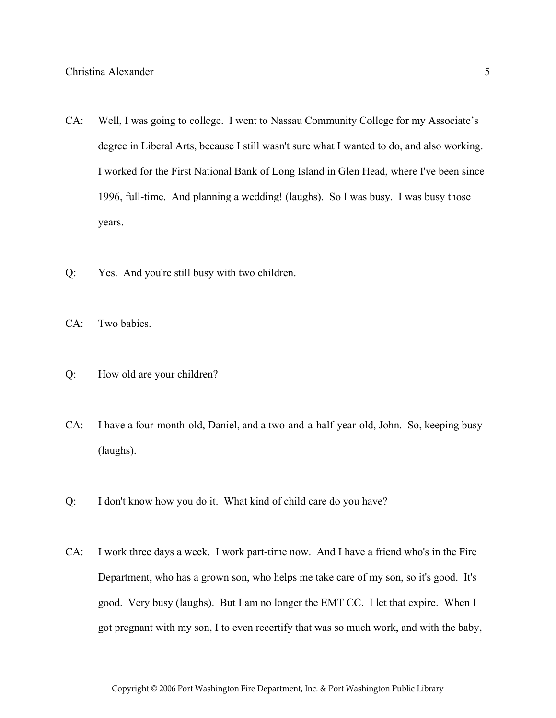- CA: Well, I was going to college. I went to Nassau Community College for my Associate's degree in Liberal Arts, because I still wasn't sure what I wanted to do, and also working. I worked for the First National Bank of Long Island in Glen Head, where I've been since 1996, full-time. And planning a wedding! (laughs). So I was busy. I was busy those years.
- Q: Yes. And you're still busy with two children.
- CA: Two babies.
- Q: How old are your children?
- CA: I have a four-month-old, Daniel, and a two-and-a-half-year-old, John. So, keeping busy (laughs).
- Q: I don't know how you do it. What kind of child care do you have?
- CA: I work three days a week. I work part-time now. And I have a friend who's in the Fire Department, who has a grown son, who helps me take care of my son, so it's good. It's good. Very busy (laughs). But I am no longer the EMT CC. I let that expire. When I got pregnant with my son, I to even recertify that was so much work, and with the baby,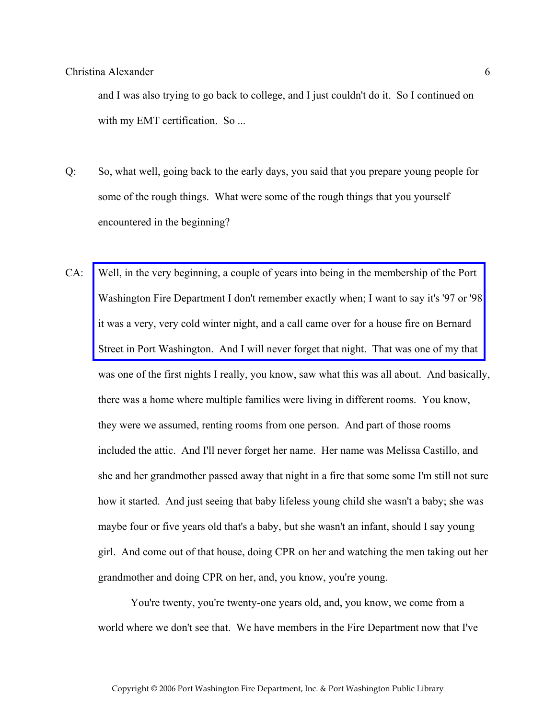and I was also trying to go back to college, and I just couldn't do it. So I continued on with my EMT certification. So ...

- Q: So, what well, going back to the early days, you said that you prepare young people for some of the rough things. What were some of the rough things that you yourself encountered in the beginning?
- CA: Well, in the very beginning, a couple of years into being in the membership of the Port [Washington Fire Department I don't remember exactly when; I want to say it's '97 or '98](http://www.pwfdhistory.com/trans/alexanderc_trans/news_bernardst01_960203.pdf)  it was a very, very cold winter night, and a call came over for a house fire on Bernard Street in Port Washington. And I will never forget that night. That was one of my that was one of the first nights I really, you know, saw what this was all about. And basically, there was a home where multiple families were living in different rooms. You know, they were we assumed, renting rooms from one person. And part of those rooms included the attic. And I'll never forget her name. Her name was Melissa Castillo, and she and her grandmother passed away that night in a fire that some some I'm still not sure how it started. And just seeing that baby lifeless young child she wasn't a baby; she was maybe four or five years old that's a baby, but she wasn't an infant, should I say young girl. And come out of that house, doing CPR on her and watching the men taking out her grandmother and doing CPR on her, and, you know, you're young.

 You're twenty, you're twenty-one years old, and, you know, we come from a world where we don't see that. We have members in the Fire Department now that I've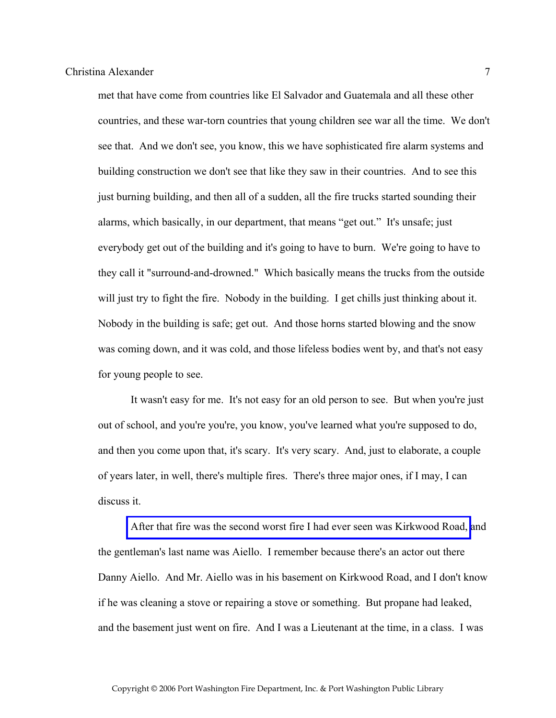met that have come from countries like El Salvador and Guatemala and all these other countries, and these war-torn countries that young children see war all the time. We don't see that. And we don't see, you know, this we have sophisticated fire alarm systems and building construction we don't see that like they saw in their countries. And to see this just burning building, and then all of a sudden, all the fire trucks started sounding their alarms, which basically, in our department, that means "get out." It's unsafe; just everybody get out of the building and it's going to have to burn. We're going to have to they call it "surround-and-drowned." Which basically means the trucks from the outside will just try to fight the fire. Nobody in the building. I get chills just thinking about it. Nobody in the building is safe; get out. And those horns started blowing and the snow was coming down, and it was cold, and those lifeless bodies went by, and that's not easy for young people to see.

 It wasn't easy for me. It's not easy for an old person to see. But when you're just out of school, and you're you're, you know, you've learned what you're supposed to do, and then you come upon that, it's scary. It's very scary. And, just to elaborate, a couple of years later, in well, there's multiple fires. There's three major ones, if I may, I can discuss it.

 [After that fire was the second worst fire I had ever seen was Kirkwood Road,](http://www.pwfdhistory.com/trans/alexanderc_trans/cole_fire006.jpg) and the gentleman's last name was Aiello. I remember because there's an actor out there Danny Aiello. And Mr. Aiello was in his basement on Kirkwood Road, and I don't know if he was cleaning a stove or repairing a stove or something. But propane had leaked, and the basement just went on fire. And I was a Lieutenant at the time, in a class. I was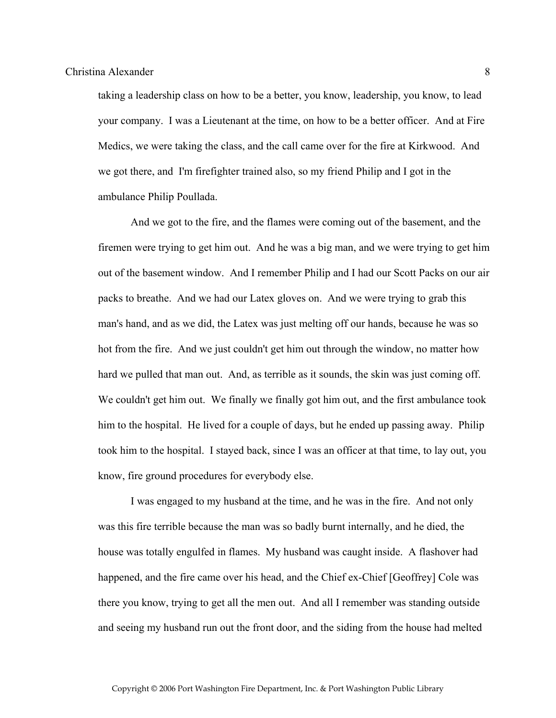taking a leadership class on how to be a better, you know, leadership, you know, to lead your company. I was a Lieutenant at the time, on how to be a better officer. And at Fire Medics, we were taking the class, and the call came over for the fire at Kirkwood. And we got there, and I'm firefighter trained also, so my friend Philip and I got in the ambulance Philip Poullada.

 And we got to the fire, and the flames were coming out of the basement, and the firemen were trying to get him out. And he was a big man, and we were trying to get him out of the basement window. And I remember Philip and I had our Scott Packs on our air packs to breathe. And we had our Latex gloves on. And we were trying to grab this man's hand, and as we did, the Latex was just melting off our hands, because he was so hot from the fire. And we just couldn't get him out through the window, no matter how hard we pulled that man out. And, as terrible as it sounds, the skin was just coming off. We couldn't get him out. We finally we finally got him out, and the first ambulance took him to the hospital. He lived for a couple of days, but he ended up passing away. Philip took him to the hospital. I stayed back, since I was an officer at that time, to lay out, you know, fire ground procedures for everybody else.

 I was engaged to my husband at the time, and he was in the fire. And not only was this fire terrible because the man was so badly burnt internally, and he died, the house was totally engulfed in flames. My husband was caught inside. A flashover had happened, and the fire came over his head, and the Chief ex-Chief [Geoffrey] Cole was there you know, trying to get all the men out. And all I remember was standing outside and seeing my husband run out the front door, and the siding from the house had melted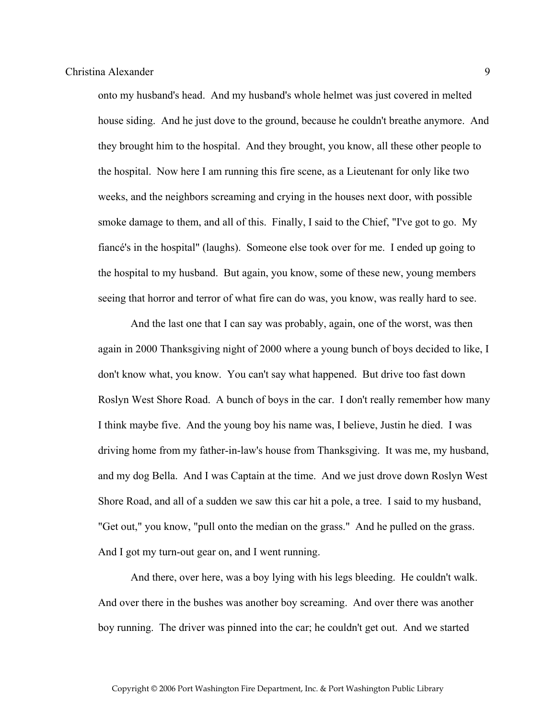onto my husband's head. And my husband's whole helmet was just covered in melted house siding. And he just dove to the ground, because he couldn't breathe anymore. And they brought him to the hospital. And they brought, you know, all these other people to the hospital. Now here I am running this fire scene, as a Lieutenant for only like two weeks, and the neighbors screaming and crying in the houses next door, with possible smoke damage to them, and all of this. Finally, I said to the Chief, "I've got to go. My fiancé's in the hospital" (laughs). Someone else took over for me. I ended up going to the hospital to my husband. But again, you know, some of these new, young members seeing that horror and terror of what fire can do was, you know, was really hard to see.

 And the last one that I can say was probably, again, one of the worst, was then again in 2000 Thanksgiving night of 2000 where a young bunch of boys decided to like, I don't know what, you know. You can't say what happened. But drive too fast down Roslyn West Shore Road. A bunch of boys in the car. I don't really remember how many I think maybe five. And the young boy his name was, I believe, Justin he died. I was driving home from my father-in-law's house from Thanksgiving. It was me, my husband, and my dog Bella. And I was Captain at the time. And we just drove down Roslyn West Shore Road, and all of a sudden we saw this car hit a pole, a tree. I said to my husband, "Get out," you know, "pull onto the median on the grass." And he pulled on the grass. And I got my turn-out gear on, and I went running.

 And there, over here, was a boy lying with his legs bleeding. He couldn't walk. And over there in the bushes was another boy screaming. And over there was another boy running. The driver was pinned into the car; he couldn't get out. And we started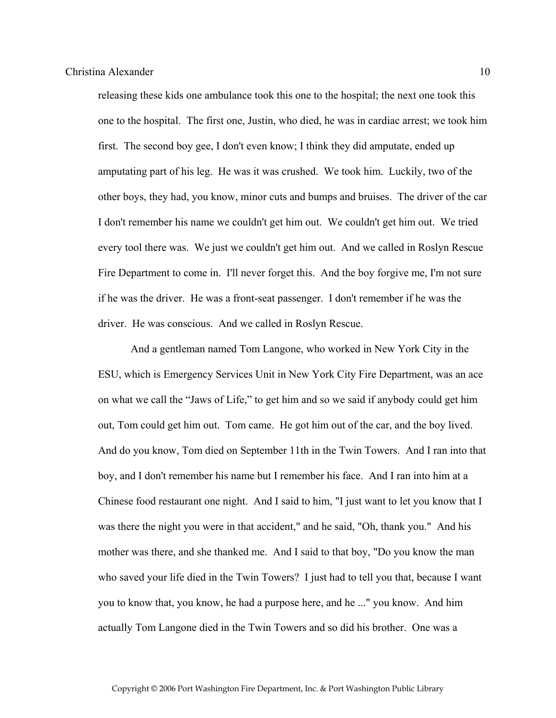releasing these kids one ambulance took this one to the hospital; the next one took this one to the hospital. The first one, Justin, who died, he was in cardiac arrest; we took him first. The second boy gee, I don't even know; I think they did amputate, ended up amputating part of his leg. He was it was crushed. We took him. Luckily, two of the other boys, they had, you know, minor cuts and bumps and bruises. The driver of the car I don't remember his name we couldn't get him out. We couldn't get him out. We tried every tool there was. We just we couldn't get him out. And we called in Roslyn Rescue Fire Department to come in. I'll never forget this. And the boy forgive me, I'm not sure if he was the driver. He was a front-seat passenger. I don't remember if he was the driver. He was conscious. And we called in Roslyn Rescue.

 And a gentleman named Tom Langone, who worked in New York City in the ESU, which is Emergency Services Unit in New York City Fire Department, was an ace on what we call the "Jaws of Life," to get him and so we said if anybody could get him out, Tom could get him out. Tom came. He got him out of the car, and the boy lived. And do you know, Tom died on September 11th in the Twin Towers. And I ran into that boy, and I don't remember his name but I remember his face. And I ran into him at a Chinese food restaurant one night. And I said to him, "I just want to let you know that I was there the night you were in that accident," and he said, "Oh, thank you." And his mother was there, and she thanked me. And I said to that boy, "Do you know the man who saved your life died in the Twin Towers? I just had to tell you that, because I want you to know that, you know, he had a purpose here, and he ..." you know. And him actually Tom Langone died in the Twin Towers and so did his brother. One was a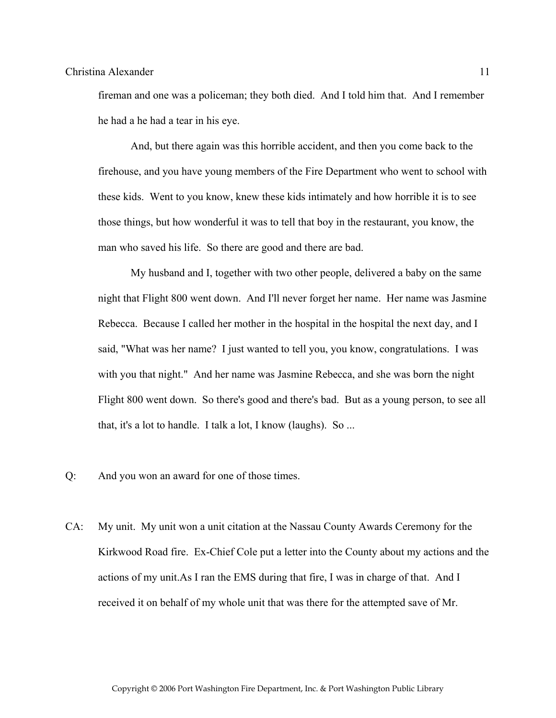fireman and one was a policeman; they both died. And I told him that. And I remember he had a he had a tear in his eye.

 And, but there again was this horrible accident, and then you come back to the firehouse, and you have young members of the Fire Department who went to school with these kids. Went to you know, knew these kids intimately and how horrible it is to see those things, but how wonderful it was to tell that boy in the restaurant, you know, the man who saved his life. So there are good and there are bad.

 My husband and I, together with two other people, delivered a baby on the same night that Flight 800 went down. And I'll never forget her name. Her name was Jasmine Rebecca. Because I called her mother in the hospital in the hospital the next day, and I said, "What was her name? I just wanted to tell you, you know, congratulations. I was with you that night." And her name was Jasmine Rebecca, and she was born the night Flight 800 went down. So there's good and there's bad. But as a young person, to see all that, it's a lot to handle. I talk a lot, I know (laughs). So ...

- Q: And you won an award for one of those times.
- CA: My unit. My unit won a unit citation at the Nassau County Awards Ceremony for the Kirkwood Road fire. Ex-Chief Cole put a letter into the County about my actions and the actions of my unit.As I ran the EMS during that fire, I was in charge of that. And I received it on behalf of my whole unit that was there for the attempted save of Mr.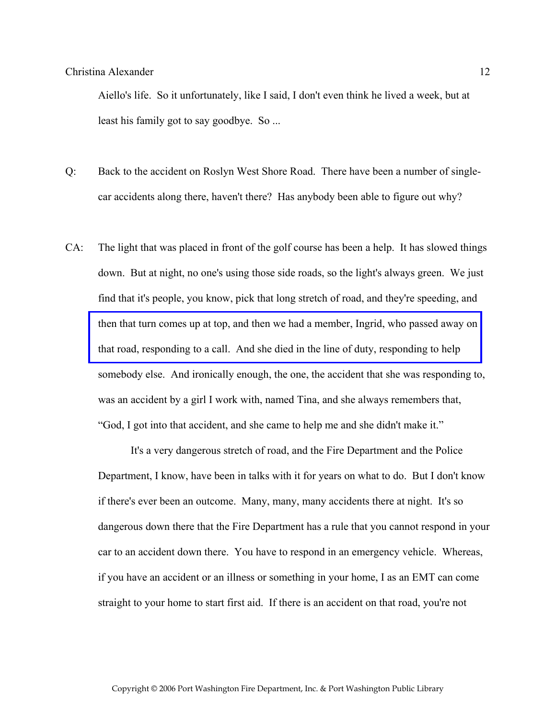Aiello's life. So it unfortunately, like I said, I don't even think he lived a week, but at least his family got to say goodbye. So ...

- Q: Back to the accident on Roslyn West Shore Road. There have been a number of singlecar accidents along there, haven't there? Has anybody been able to figure out why?
- CA: The light that was placed in front of the golf course has been a help. It has slowed things down. But at night, no one's using those side roads, so the light's always green. We just find that it's people, you know, pick that long stretch of road, and they're speeding, and [then that turn comes up at top, and then we had a member, Ingrid, who passed away on](http://www.pwfdhistory.com/trans/alexanderc_trans/nday900220a.jpg)  that road, responding to a call. And she died in the line of duty, responding to help somebody else. And ironically enough, the one, the accident that she was responding to, was an accident by a girl I work with, named Tina, and she always remembers that, "God, I got into that accident, and she came to help me and she didn't make it."

 It's a very dangerous stretch of road, and the Fire Department and the Police Department, I know, have been in talks with it for years on what to do. But I don't know if there's ever been an outcome. Many, many, many accidents there at night. It's so dangerous down there that the Fire Department has a rule that you cannot respond in your car to an accident down there. You have to respond in an emergency vehicle. Whereas, if you have an accident or an illness or something in your home, I as an EMT can come straight to your home to start first aid. If there is an accident on that road, you're not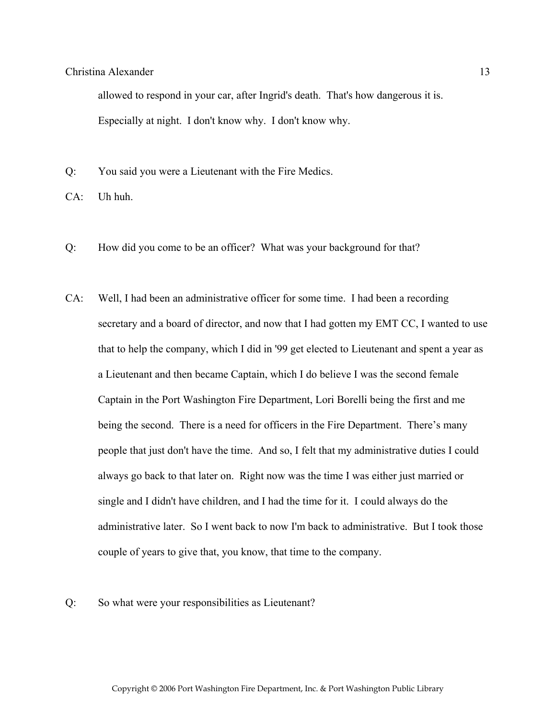allowed to respond in your car, after Ingrid's death. That's how dangerous it is. Especially at night. I don't know why. I don't know why.

- Q: You said you were a Lieutenant with the Fire Medics.
- $CA$ : Uh huh.
- Q: How did you come to be an officer? What was your background for that?
- CA: Well, I had been an administrative officer for some time. I had been a recording secretary and a board of director, and now that I had gotten my EMT CC, I wanted to use that to help the company, which I did in '99 get elected to Lieutenant and spent a year as a Lieutenant and then became Captain, which I do believe I was the second female Captain in the Port Washington Fire Department, Lori Borelli being the first and me being the second. There is a need for officers in the Fire Department. There's many people that just don't have the time. And so, I felt that my administrative duties I could always go back to that later on. Right now was the time I was either just married or single and I didn't have children, and I had the time for it. I could always do the administrative later. So I went back to now I'm back to administrative. But I took those couple of years to give that, you know, that time to the company.

#### Q: So what were your responsibilities as Lieutenant?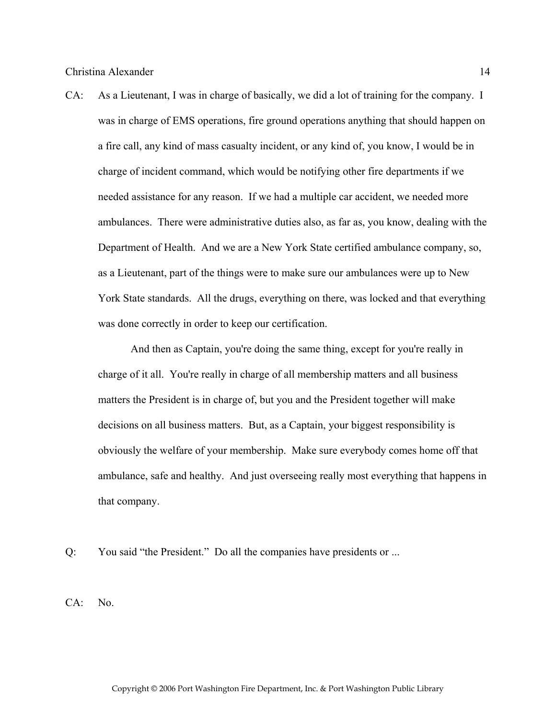CA: As a Lieutenant, I was in charge of basically, we did a lot of training for the company. I was in charge of EMS operations, fire ground operations anything that should happen on a fire call, any kind of mass casualty incident, or any kind of, you know, I would be in charge of incident command, which would be notifying other fire departments if we needed assistance for any reason. If we had a multiple car accident, we needed more ambulances. There were administrative duties also, as far as, you know, dealing with the Department of Health. And we are a New York State certified ambulance company, so, as a Lieutenant, part of the things were to make sure our ambulances were up to New York State standards. All the drugs, everything on there, was locked and that everything was done correctly in order to keep our certification.

 And then as Captain, you're doing the same thing, except for you're really in charge of it all. You're really in charge of all membership matters and all business matters the President is in charge of, but you and the President together will make decisions on all business matters. But, as a Captain, your biggest responsibility is obviously the welfare of your membership. Make sure everybody comes home off that ambulance, safe and healthy. And just overseeing really most everything that happens in that company.

Q: You said "the President." Do all the companies have presidents or ...

CA: No.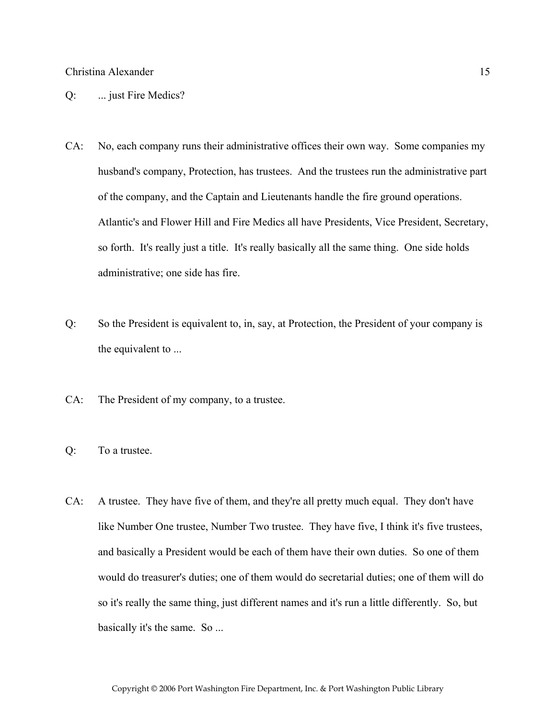#### Q: ... just Fire Medics?

- CA: No, each company runs their administrative offices their own way. Some companies my husband's company, Protection, has trustees. And the trustees run the administrative part of the company, and the Captain and Lieutenants handle the fire ground operations. Atlantic's and Flower Hill and Fire Medics all have Presidents, Vice President, Secretary, so forth. It's really just a title. It's really basically all the same thing. One side holds administrative; one side has fire.
- Q: So the President is equivalent to, in, say, at Protection, the President of your company is the equivalent to ...
- CA: The President of my company, to a trustee.
- Q: To a trustee.
- CA: A trustee. They have five of them, and they're all pretty much equal. They don't have like Number One trustee, Number Two trustee. They have five, I think it's five trustees, and basically a President would be each of them have their own duties. So one of them would do treasurer's duties; one of them would do secretarial duties; one of them will do so it's really the same thing, just different names and it's run a little differently. So, but basically it's the same. So ...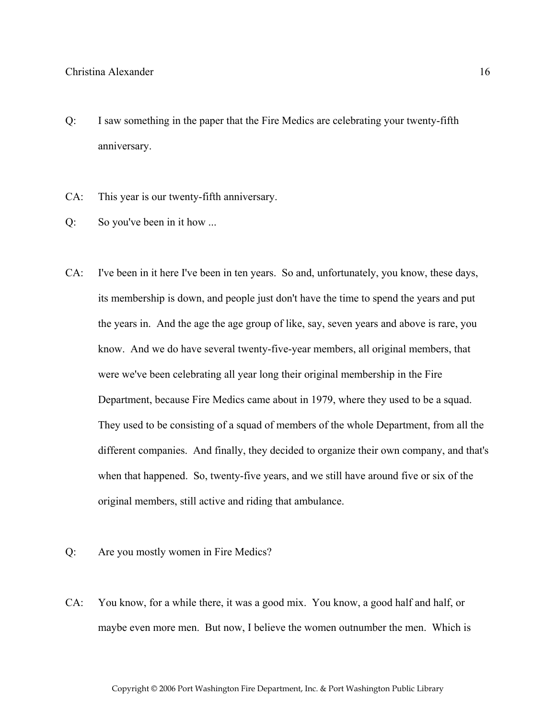- Q: I saw something in the paper that the Fire Medics are celebrating your twenty-fifth anniversary.
- CA: This year is our twenty-fifth anniversary.
- Q: So you've been in it how ...
- CA: I've been in it here I've been in ten years. So and, unfortunately, you know, these days, its membership is down, and people just don't have the time to spend the years and put the years in. And the age the age group of like, say, seven years and above is rare, you know. And we do have several twenty-five-year members, all original members, that were we've been celebrating all year long their original membership in the Fire Department, because Fire Medics came about in 1979, where they used to be a squad. They used to be consisting of a squad of members of the whole Department, from all the different companies. And finally, they decided to organize their own company, and that's when that happened. So, twenty-five years, and we still have around five or six of the original members, still active and riding that ambulance.
- Q: Are you mostly women in Fire Medics?
- CA: You know, for a while there, it was a good mix. You know, a good half and half, or maybe even more men. But now, I believe the women outnumber the men. Which is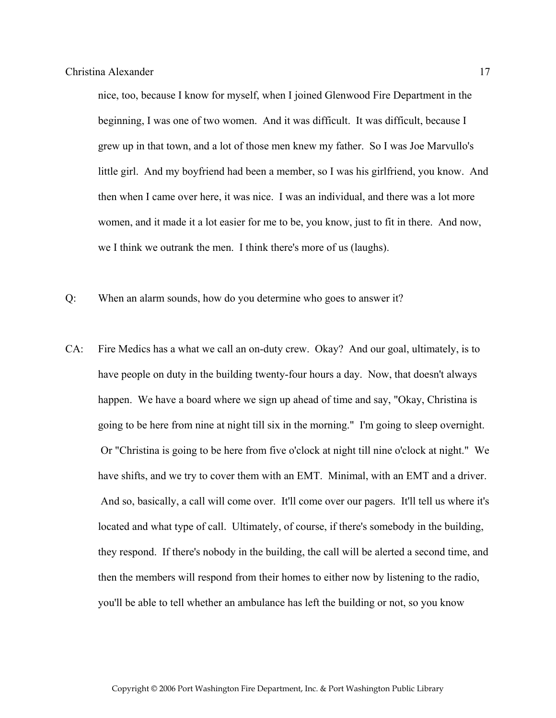nice, too, because I know for myself, when I joined Glenwood Fire Department in the beginning, I was one of two women. And it was difficult. It was difficult, because I grew up in that town, and a lot of those men knew my father. So I was Joe Marvullo's little girl. And my boyfriend had been a member, so I was his girlfriend, you know. And then when I came over here, it was nice. I was an individual, and there was a lot more women, and it made it a lot easier for me to be, you know, just to fit in there. And now, we I think we outrank the men. I think there's more of us (laughs).

- Q: When an alarm sounds, how do you determine who goes to answer it?
- CA: Fire Medics has a what we call an on-duty crew. Okay? And our goal, ultimately, is to have people on duty in the building twenty-four hours a day. Now, that doesn't always happen. We have a board where we sign up ahead of time and say, "Okay, Christina is going to be here from nine at night till six in the morning." I'm going to sleep overnight. Or "Christina is going to be here from five o'clock at night till nine o'clock at night." We have shifts, and we try to cover them with an EMT. Minimal, with an EMT and a driver. And so, basically, a call will come over. It'll come over our pagers. It'll tell us where it's located and what type of call. Ultimately, of course, if there's somebody in the building, they respond. If there's nobody in the building, the call will be alerted a second time, and then the members will respond from their homes to either now by listening to the radio, you'll be able to tell whether an ambulance has left the building or not, so you know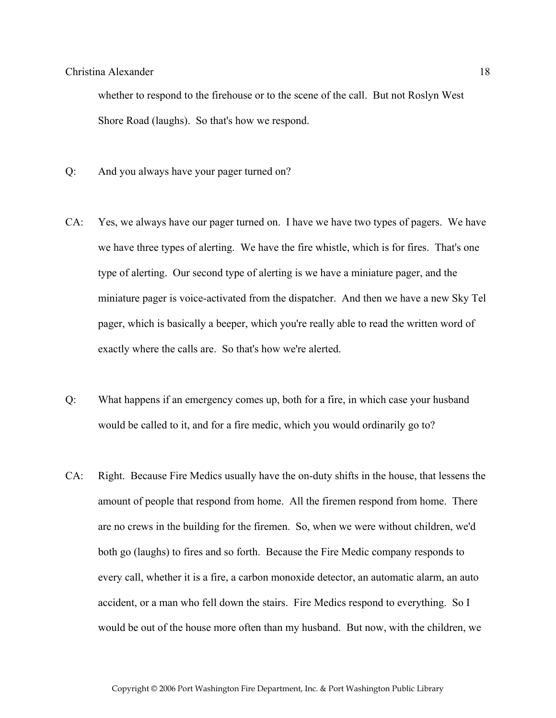whether to respond to the firehouse or to the scene of the call. But not Roslyn West Shore Road (laughs). So that's how we respond.

- Q: And you always have your pager turned on?
- CA: Yes, we always have our pager turned on. I have we have two types of pagers. We have we have three types of alerting. We have the fire whistle, which is for fires. That's one type of alerting. Our second type of alerting is we have a miniature pager, and the miniature pager is voice-activated from the dispatcher. And then we have a new Sky Tel pager, which is basically a beeper, which you're really able to read the written word of exactly where the calls are. So that's how we're alerted.
- Q: What happens if an emergency comes up, both for a fire, in which case your husband would be called to it, and for a fire medic, which you would ordinarily go to?
- CA: Right. Because Fire Medics usually have the on-duty shifts in the house, that lessens the amount of people that respond from home. All the firemen respond from home. There are no crews in the building for the firemen. So, when we were without children, we'd both go (laughs) to fires and so forth. Because the Fire Medic company responds to every call, whether it is a fire, a carbon monoxide detector, an automatic alarm, an auto accident, or a man who fell down the stairs. Fire Medics respond to everything. So I would be out of the house more often than my husband. But now, with the children, we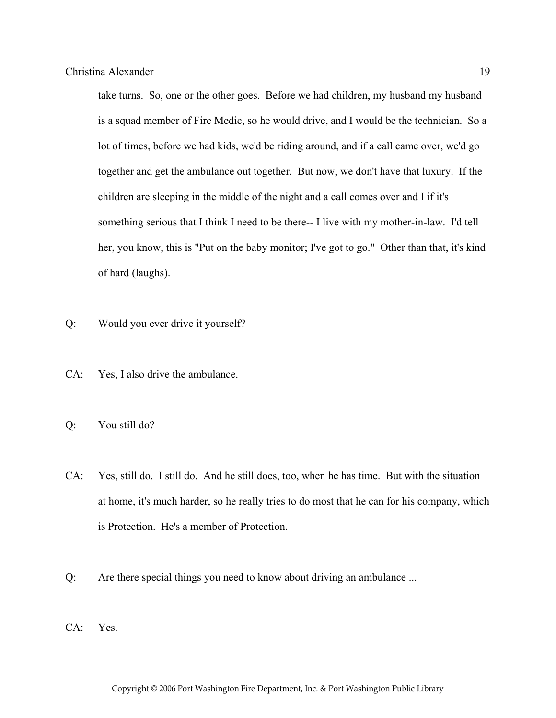take turns. So, one or the other goes. Before we had children, my husband my husband is a squad member of Fire Medic, so he would drive, and I would be the technician. So a lot of times, before we had kids, we'd be riding around, and if a call came over, we'd go together and get the ambulance out together. But now, we don't have that luxury. If the children are sleeping in the middle of the night and a call comes over and I if it's something serious that I think I need to be there-- I live with my mother-in-law. I'd tell her, you know, this is "Put on the baby monitor; I've got to go." Other than that, it's kind of hard (laughs).

- Q: Would you ever drive it yourself?
- CA: Yes, I also drive the ambulance.
- Q: You still do?
- CA: Yes, still do. I still do. And he still does, too, when he has time. But with the situation at home, it's much harder, so he really tries to do most that he can for his company, which is Protection. He's a member of Protection.
- Q: Are there special things you need to know about driving an ambulance ...
- CA: Yes.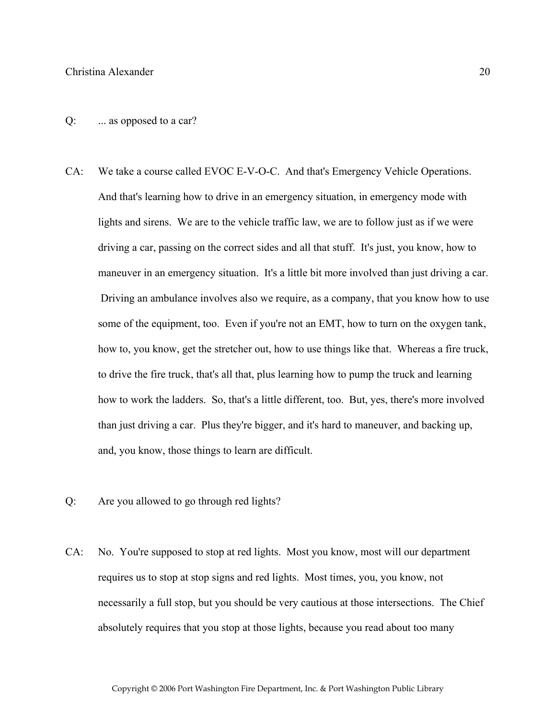- CA: We take a course called EVOC E-V-O-C. And that's Emergency Vehicle Operations. And that's learning how to drive in an emergency situation, in emergency mode with lights and sirens. We are to the vehicle traffic law, we are to follow just as if we were driving a car, passing on the correct sides and all that stuff. It's just, you know, how to maneuver in an emergency situation. It's a little bit more involved than just driving a car. Driving an ambulance involves also we require, as a company, that you know how to use some of the equipment, too. Even if you're not an EMT, how to turn on the oxygen tank, how to, you know, get the stretcher out, how to use things like that. Whereas a fire truck, to drive the fire truck, that's all that, plus learning how to pump the truck and learning how to work the ladders. So, that's a little different, too. But, yes, there's more involved than just driving a car. Plus they're bigger, and it's hard to maneuver, and backing up, and, you know, those things to learn are difficult.
- Q: Are you allowed to go through red lights?
- CA: No. You're supposed to stop at red lights. Most you know, most will our department requires us to stop at stop signs and red lights. Most times, you, you know, not necessarily a full stop, but you should be very cautious at those intersections. The Chief absolutely requires that you stop at those lights, because you read about too many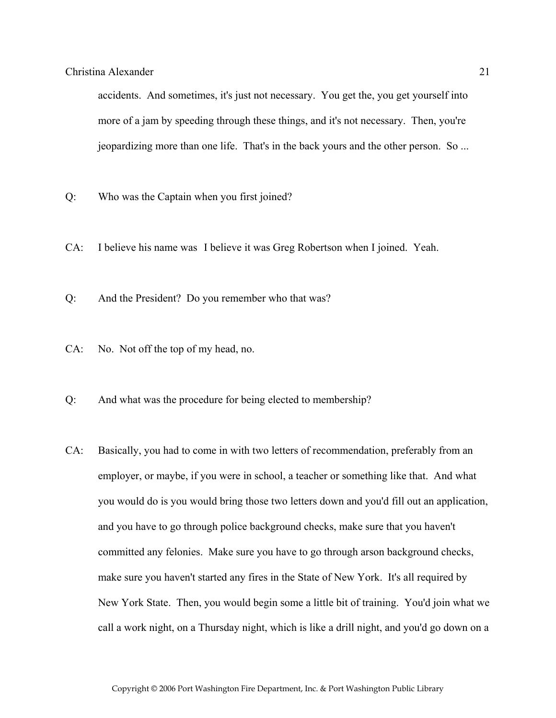accidents. And sometimes, it's just not necessary. You get the, you get yourself into more of a jam by speeding through these things, and it's not necessary. Then, you're jeopardizing more than one life. That's in the back yours and the other person. So ...

- Q: Who was the Captain when you first joined?
- CA: I believe his name was I believe it was Greg Robertson when I joined. Yeah.
- Q: And the President? Do you remember who that was?
- CA: No. Not off the top of my head, no.
- Q: And what was the procedure for being elected to membership?
- CA: Basically, you had to come in with two letters of recommendation, preferably from an employer, or maybe, if you were in school, a teacher or something like that. And what you would do is you would bring those two letters down and you'd fill out an application, and you have to go through police background checks, make sure that you haven't committed any felonies. Make sure you have to go through arson background checks, make sure you haven't started any fires in the State of New York. It's all required by New York State. Then, you would begin some a little bit of training. You'd join what we call a work night, on a Thursday night, which is like a drill night, and you'd go down on a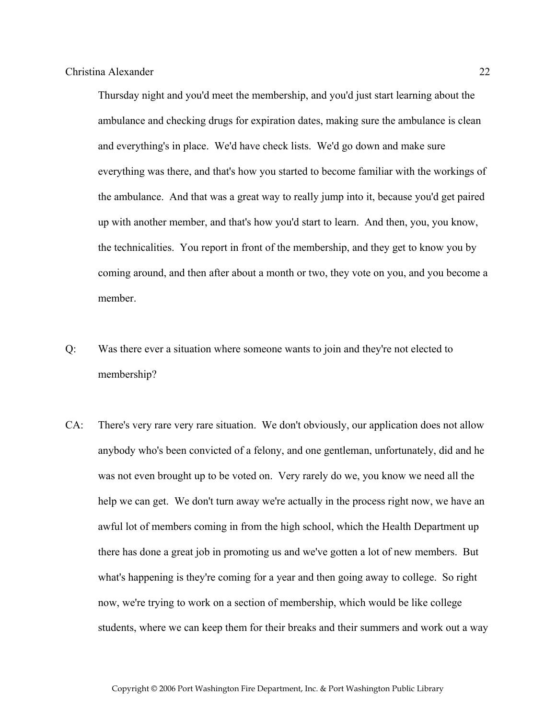Thursday night and you'd meet the membership, and you'd just start learning about the ambulance and checking drugs for expiration dates, making sure the ambulance is clean and everything's in place. We'd have check lists. We'd go down and make sure everything was there, and that's how you started to become familiar with the workings of the ambulance. And that was a great way to really jump into it, because you'd get paired up with another member, and that's how you'd start to learn. And then, you, you know, the technicalities. You report in front of the membership, and they get to know you by coming around, and then after about a month or two, they vote on you, and you become a member.

- Q: Was there ever a situation where someone wants to join and they're not elected to membership?
- CA: There's very rare very rare situation. We don't obviously, our application does not allow anybody who's been convicted of a felony, and one gentleman, unfortunately, did and he was not even brought up to be voted on. Very rarely do we, you know we need all the help we can get. We don't turn away we're actually in the process right now, we have an awful lot of members coming in from the high school, which the Health Department up there has done a great job in promoting us and we've gotten a lot of new members. But what's happening is they're coming for a year and then going away to college. So right now, we're trying to work on a section of membership, which would be like college students, where we can keep them for their breaks and their summers and work out a way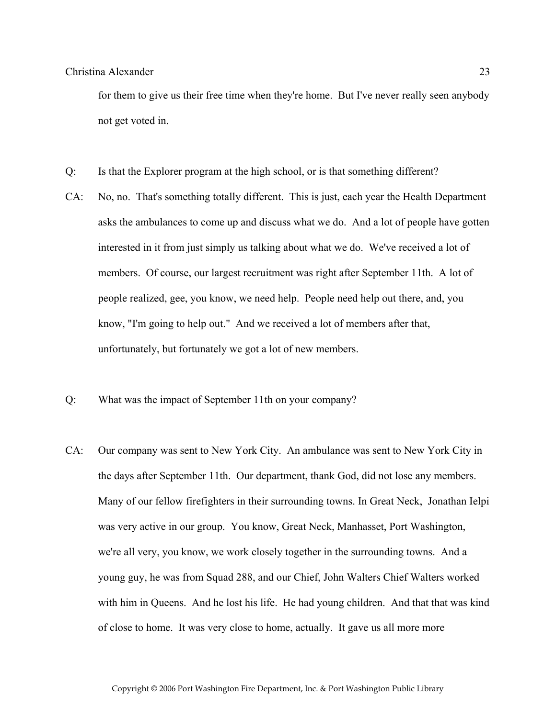for them to give us their free time when they're home. But I've never really seen anybody not get voted in.

- Q: Is that the Explorer program at the high school, or is that something different?
- CA: No, no. That's something totally different. This is just, each year the Health Department asks the ambulances to come up and discuss what we do. And a lot of people have gotten interested in it from just simply us talking about what we do. We've received a lot of members. Of course, our largest recruitment was right after September 11th. A lot of people realized, gee, you know, we need help. People need help out there, and, you know, "I'm going to help out." And we received a lot of members after that, unfortunately, but fortunately we got a lot of new members.
- Q: What was the impact of September 11th on your company?
- CA: Our company was sent to New York City. An ambulance was sent to New York City in the days after September 11th. Our department, thank God, did not lose any members. Many of our fellow firefighters in their surrounding towns. In Great Neck, Jonathan Ielpi was very active in our group. You know, Great Neck, Manhasset, Port Washington, we're all very, you know, we work closely together in the surrounding towns. And a young guy, he was from Squad 288, and our Chief, John Walters Chief Walters worked with him in Queens. And he lost his life. He had young children. And that that was kind of close to home. It was very close to home, actually. It gave us all more more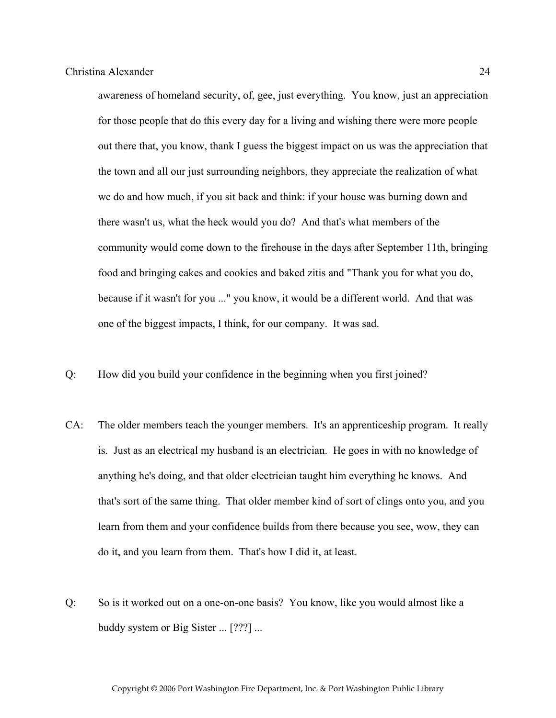awareness of homeland security, of, gee, just everything. You know, just an appreciation for those people that do this every day for a living and wishing there were more people out there that, you know, thank I guess the biggest impact on us was the appreciation that the town and all our just surrounding neighbors, they appreciate the realization of what we do and how much, if you sit back and think: if your house was burning down and there wasn't us, what the heck would you do? And that's what members of the community would come down to the firehouse in the days after September 11th, bringing food and bringing cakes and cookies and baked zitis and "Thank you for what you do, because if it wasn't for you ..." you know, it would be a different world. And that was one of the biggest impacts, I think, for our company. It was sad.

- Q: How did you build your confidence in the beginning when you first joined?
- CA: The older members teach the younger members. It's an apprenticeship program. It really is. Just as an electrical my husband is an electrician. He goes in with no knowledge of anything he's doing, and that older electrician taught him everything he knows. And that's sort of the same thing. That older member kind of sort of clings onto you, and you learn from them and your confidence builds from there because you see, wow, they can do it, and you learn from them. That's how I did it, at least.
- Q: So is it worked out on a one-on-one basis? You know, like you would almost like a buddy system or Big Sister ... [???] ...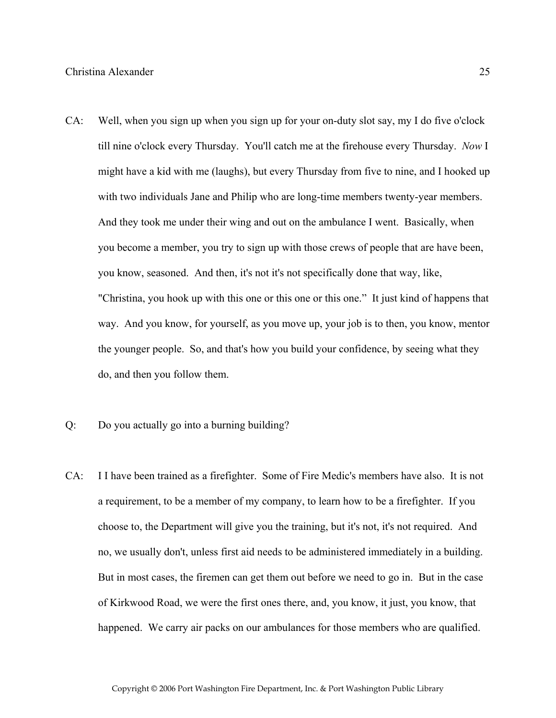- CA: Well, when you sign up when you sign up for your on-duty slot say, my I do five o'clock till nine o'clock every Thursday. You'll catch me at the firehouse every Thursday. *Now* I might have a kid with me (laughs), but every Thursday from five to nine, and I hooked up with two individuals Jane and Philip who are long-time members twenty-year members. And they took me under their wing and out on the ambulance I went. Basically, when you become a member, you try to sign up with those crews of people that are have been, you know, seasoned. And then, it's not it's not specifically done that way, like, "Christina, you hook up with this one or this one or this one." It just kind of happens that way. And you know, for yourself, as you move up, your job is to then, you know, mentor the younger people. So, and that's how you build your confidence, by seeing what they do, and then you follow them.
- Q: Do you actually go into a burning building?
- CA: I I have been trained as a firefighter. Some of Fire Medic's members have also. It is not a requirement, to be a member of my company, to learn how to be a firefighter. If you choose to, the Department will give you the training, but it's not, it's not required. And no, we usually don't, unless first aid needs to be administered immediately in a building. But in most cases, the firemen can get them out before we need to go in. But in the case of Kirkwood Road, we were the first ones there, and, you know, it just, you know, that happened. We carry air packs on our ambulances for those members who are qualified.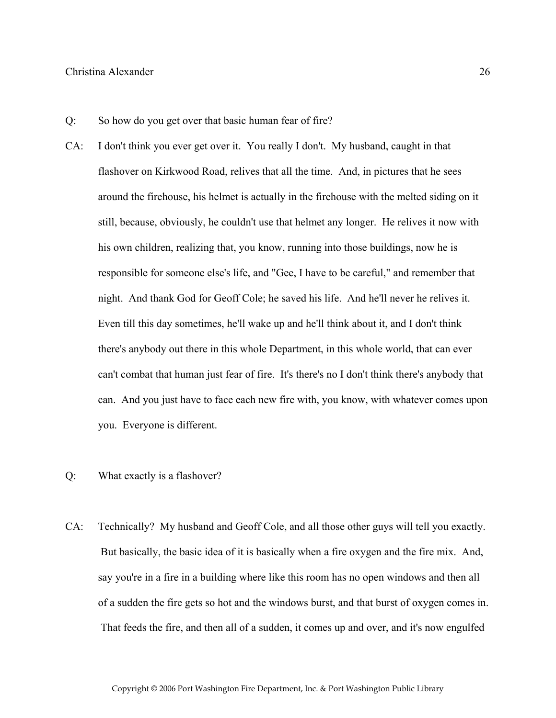- Q: So how do you get over that basic human fear of fire?
- CA: I don't think you ever get over it. You really I don't. My husband, caught in that flashover on Kirkwood Road, relives that all the time. And, in pictures that he sees around the firehouse, his helmet is actually in the firehouse with the melted siding on it still, because, obviously, he couldn't use that helmet any longer. He relives it now with his own children, realizing that, you know, running into those buildings, now he is responsible for someone else's life, and "Gee, I have to be careful," and remember that night. And thank God for Geoff Cole; he saved his life. And he'll never he relives it. Even till this day sometimes, he'll wake up and he'll think about it, and I don't think there's anybody out there in this whole Department, in this whole world, that can ever can't combat that human just fear of fire. It's there's no I don't think there's anybody that can. And you just have to face each new fire with, you know, with whatever comes upon you. Everyone is different.
- Q: What exactly is a flashover?
- CA: Technically? My husband and Geoff Cole, and all those other guys will tell you exactly. But basically, the basic idea of it is basically when a fire oxygen and the fire mix. And, say you're in a fire in a building where like this room has no open windows and then all of a sudden the fire gets so hot and the windows burst, and that burst of oxygen comes in. That feeds the fire, and then all of a sudden, it comes up and over, and it's now engulfed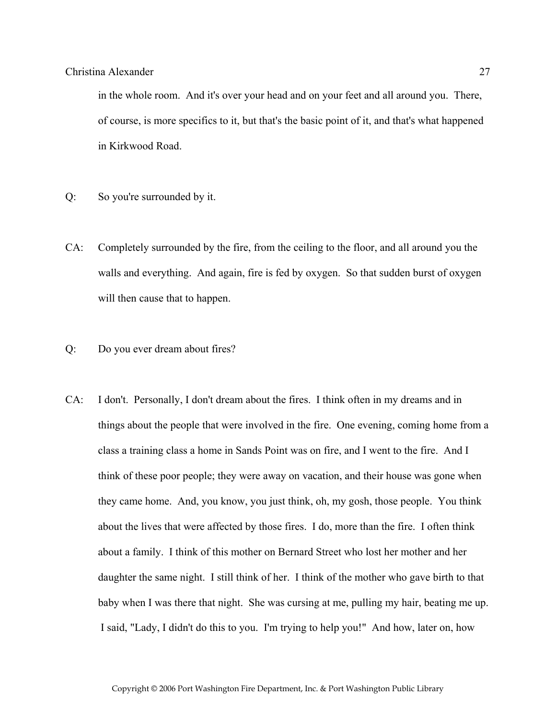in the whole room. And it's over your head and on your feet and all around you. There, of course, is more specifics to it, but that's the basic point of it, and that's what happened in Kirkwood Road.

- Q: So you're surrounded by it.
- CA: Completely surrounded by the fire, from the ceiling to the floor, and all around you the walls and everything. And again, fire is fed by oxygen. So that sudden burst of oxygen will then cause that to happen.
- Q: Do you ever dream about fires?
- CA: I don't. Personally, I don't dream about the fires. I think often in my dreams and in things about the people that were involved in the fire. One evening, coming home from a class a training class a home in Sands Point was on fire, and I went to the fire. And I think of these poor people; they were away on vacation, and their house was gone when they came home. And, you know, you just think, oh, my gosh, those people. You think about the lives that were affected by those fires. I do, more than the fire. I often think about a family. I think of this mother on Bernard Street who lost her mother and her daughter the same night. I still think of her. I think of the mother who gave birth to that baby when I was there that night. She was cursing at me, pulling my hair, beating me up. I said, "Lady, I didn't do this to you. I'm trying to help you!" And how, later on, how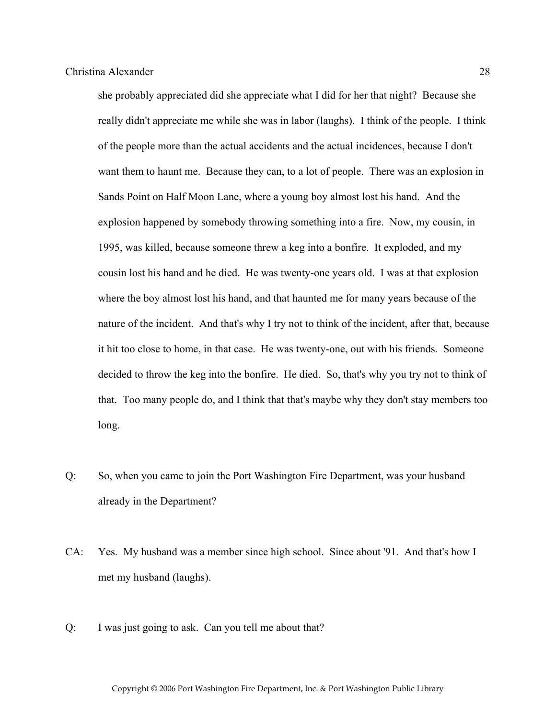she probably appreciated did she appreciate what I did for her that night? Because she really didn't appreciate me while she was in labor (laughs). I think of the people. I think of the people more than the actual accidents and the actual incidences, because I don't want them to haunt me. Because they can, to a lot of people. There was an explosion in Sands Point on Half Moon Lane, where a young boy almost lost his hand. And the explosion happened by somebody throwing something into a fire. Now, my cousin, in 1995, was killed, because someone threw a keg into a bonfire. It exploded, and my cousin lost his hand and he died. He was twenty-one years old. I was at that explosion where the boy almost lost his hand, and that haunted me for many years because of the nature of the incident. And that's why I try not to think of the incident, after that, because it hit too close to home, in that case. He was twenty-one, out with his friends. Someone decided to throw the keg into the bonfire. He died. So, that's why you try not to think of that. Too many people do, and I think that that's maybe why they don't stay members too long.

- Q: So, when you came to join the Port Washington Fire Department, was your husband already in the Department?
- CA: Yes. My husband was a member since high school. Since about '91. And that's how I met my husband (laughs).
- Q: I was just going to ask. Can you tell me about that?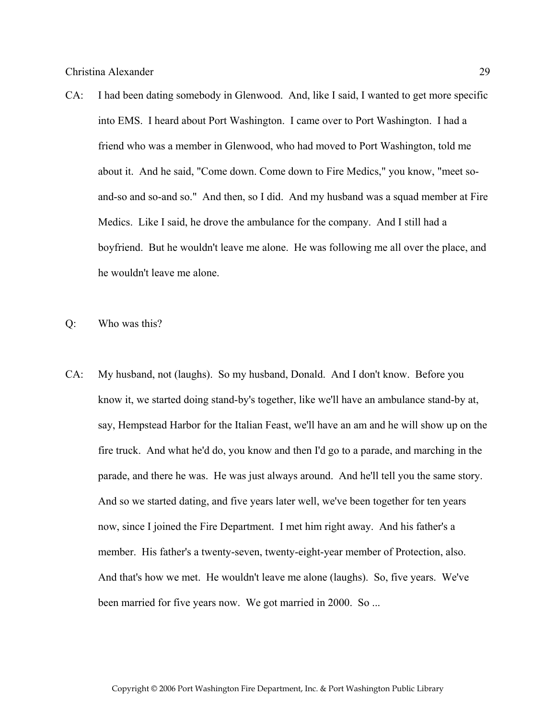CA: I had been dating somebody in Glenwood. And, like I said, I wanted to get more specific into EMS. I heard about Port Washington. I came over to Port Washington. I had a friend who was a member in Glenwood, who had moved to Port Washington, told me about it. And he said, "Come down. Come down to Fire Medics," you know, "meet soand-so and so-and so." And then, so I did. And my husband was a squad member at Fire Medics. Like I said, he drove the ambulance for the company. And I still had a boyfriend. But he wouldn't leave me alone. He was following me all over the place, and he wouldn't leave me alone.

Q: Who was this?

CA: My husband, not (laughs). So my husband, Donald. And I don't know. Before you know it, we started doing stand-by's together, like we'll have an ambulance stand-by at, say, Hempstead Harbor for the Italian Feast, we'll have an am and he will show up on the fire truck. And what he'd do, you know and then I'd go to a parade, and marching in the parade, and there he was. He was just always around. And he'll tell you the same story. And so we started dating, and five years later well, we've been together for ten years now, since I joined the Fire Department. I met him right away. And his father's a member. His father's a twenty-seven, twenty-eight-year member of Protection, also. And that's how we met. He wouldn't leave me alone (laughs). So, five years. We've been married for five years now. We got married in 2000. So ...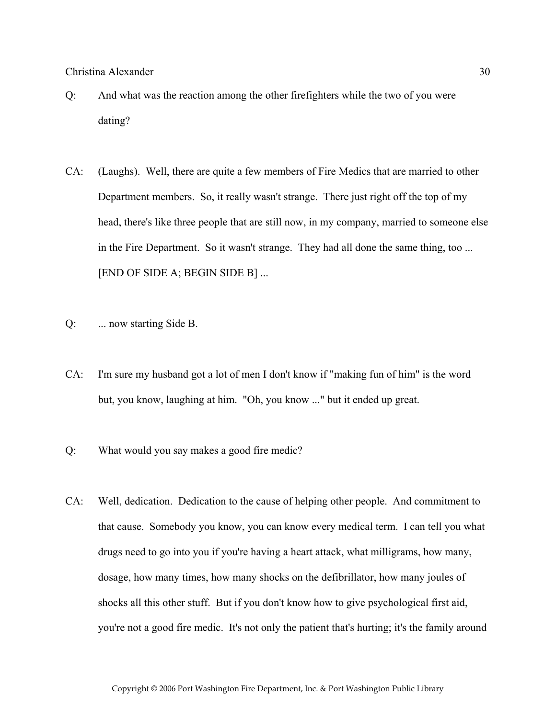- Q: And what was the reaction among the other firefighters while the two of you were dating?
- CA: (Laughs). Well, there are quite a few members of Fire Medics that are married to other Department members. So, it really wasn't strange. There just right off the top of my head, there's like three people that are still now, in my company, married to someone else in the Fire Department. So it wasn't strange. They had all done the same thing, too ... [END OF SIDE A; BEGIN SIDE B] ...
- Q: ... now starting Side B.
- CA: I'm sure my husband got a lot of men I don't know if "making fun of him" is the word but, you know, laughing at him. "Oh, you know ..." but it ended up great.
- Q: What would you say makes a good fire medic?
- CA: Well, dedication. Dedication to the cause of helping other people. And commitment to that cause. Somebody you know, you can know every medical term. I can tell you what drugs need to go into you if you're having a heart attack, what milligrams, how many, dosage, how many times, how many shocks on the defibrillator, how many joules of shocks all this other stuff. But if you don't know how to give psychological first aid, you're not a good fire medic. It's not only the patient that's hurting; it's the family around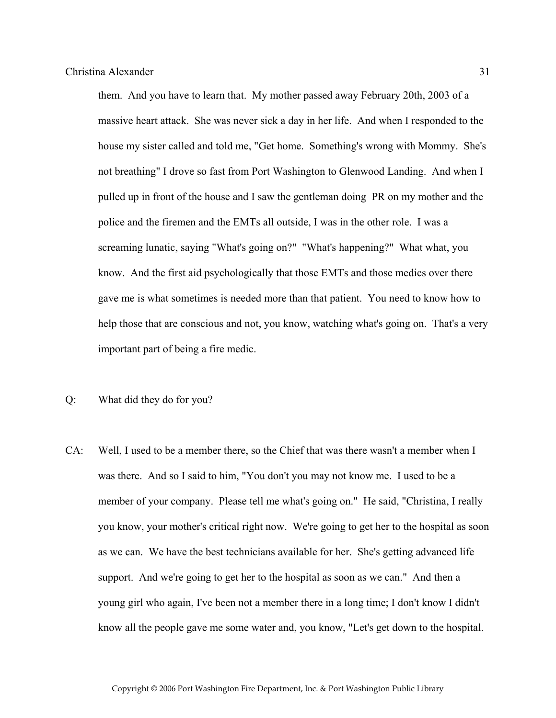them. And you have to learn that. My mother passed away February 20th, 2003 of a massive heart attack. She was never sick a day in her life. And when I responded to the house my sister called and told me, "Get home. Something's wrong with Mommy. She's not breathing" I drove so fast from Port Washington to Glenwood Landing. And when I pulled up in front of the house and I saw the gentleman doing PR on my mother and the police and the firemen and the EMTs all outside, I was in the other role. I was a screaming lunatic, saying "What's going on?" "What's happening?" What what, you know. And the first aid psychologically that those EMTs and those medics over there gave me is what sometimes is needed more than that patient. You need to know how to help those that are conscious and not, you know, watching what's going on. That's a very important part of being a fire medic.

- Q: What did they do for you?
- CA: Well, I used to be a member there, so the Chief that was there wasn't a member when I was there. And so I said to him, "You don't you may not know me. I used to be a member of your company. Please tell me what's going on." He said, "Christina, I really you know, your mother's critical right now. We're going to get her to the hospital as soon as we can. We have the best technicians available for her. She's getting advanced life support. And we're going to get her to the hospital as soon as we can." And then a young girl who again, I've been not a member there in a long time; I don't know I didn't know all the people gave me some water and, you know, "Let's get down to the hospital.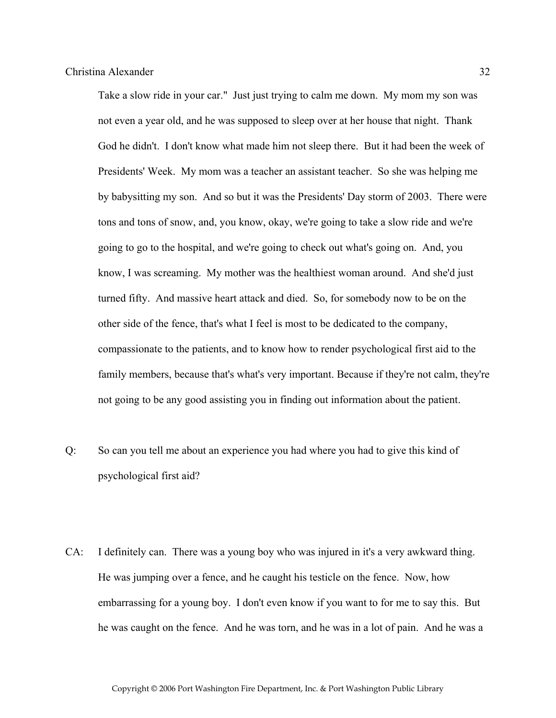Take a slow ride in your car." Just just trying to calm me down. My mom my son was not even a year old, and he was supposed to sleep over at her house that night. Thank God he didn't. I don't know what made him not sleep there. But it had been the week of Presidents' Week. My mom was a teacher an assistant teacher. So she was helping me by babysitting my son. And so but it was the Presidents' Day storm of 2003. There were tons and tons of snow, and, you know, okay, we're going to take a slow ride and we're going to go to the hospital, and we're going to check out what's going on. And, you know, I was screaming. My mother was the healthiest woman around. And she'd just turned fifty. And massive heart attack and died. So, for somebody now to be on the other side of the fence, that's what I feel is most to be dedicated to the company, compassionate to the patients, and to know how to render psychological first aid to the family members, because that's what's very important. Because if they're not calm, they're not going to be any good assisting you in finding out information about the patient.

- Q: So can you tell me about an experience you had where you had to give this kind of psychological first aid?
- CA: I definitely can. There was a young boy who was injured in it's a very awkward thing. He was jumping over a fence, and he caught his testicle on the fence. Now, how embarrassing for a young boy. I don't even know if you want to for me to say this. But he was caught on the fence. And he was torn, and he was in a lot of pain. And he was a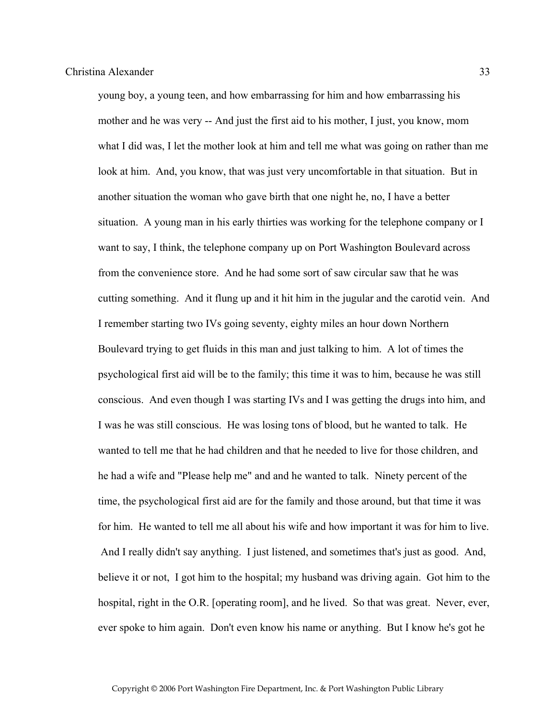young boy, a young teen, and how embarrassing for him and how embarrassing his mother and he was very -- And just the first aid to his mother, I just, you know, mom what I did was, I let the mother look at him and tell me what was going on rather than me look at him. And, you know, that was just very uncomfortable in that situation. But in another situation the woman who gave birth that one night he, no, I have a better situation. A young man in his early thirties was working for the telephone company or I want to say, I think, the telephone company up on Port Washington Boulevard across from the convenience store. And he had some sort of saw circular saw that he was cutting something. And it flung up and it hit him in the jugular and the carotid vein. And I remember starting two IVs going seventy, eighty miles an hour down Northern Boulevard trying to get fluids in this man and just talking to him. A lot of times the psychological first aid will be to the family; this time it was to him, because he was still conscious. And even though I was starting IVs and I was getting the drugs into him, and I was he was still conscious. He was losing tons of blood, but he wanted to talk. He wanted to tell me that he had children and that he needed to live for those children, and he had a wife and "Please help me" and and he wanted to talk. Ninety percent of the time, the psychological first aid are for the family and those around, but that time it was for him. He wanted to tell me all about his wife and how important it was for him to live. And I really didn't say anything. I just listened, and sometimes that's just as good. And, believe it or not, I got him to the hospital; my husband was driving again. Got him to the hospital, right in the O.R. [operating room], and he lived. So that was great. Never, ever, ever spoke to him again. Don't even know his name or anything. But I know he's got he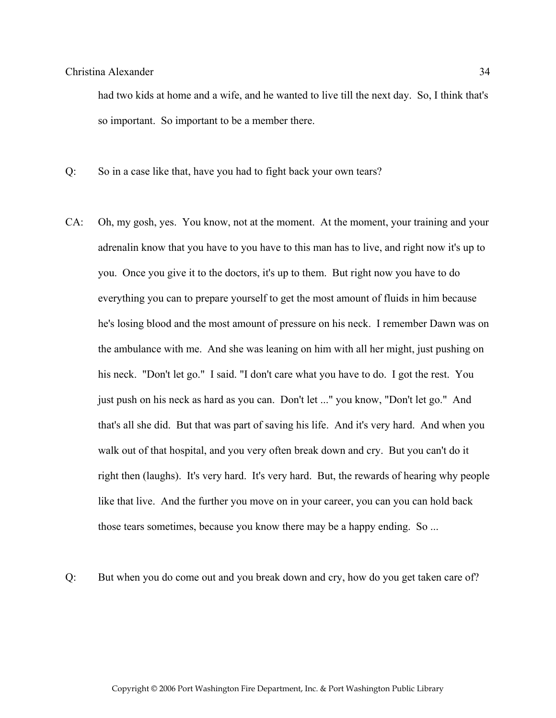had two kids at home and a wife, and he wanted to live till the next day. So, I think that's so important. So important to be a member there.

Q: So in a case like that, have you had to fight back your own tears?

CA: Oh, my gosh, yes. You know, not at the moment. At the moment, your training and your adrenalin know that you have to you have to this man has to live, and right now it's up to you. Once you give it to the doctors, it's up to them. But right now you have to do everything you can to prepare yourself to get the most amount of fluids in him because he's losing blood and the most amount of pressure on his neck. I remember Dawn was on the ambulance with me. And she was leaning on him with all her might, just pushing on his neck. "Don't let go." I said. "I don't care what you have to do. I got the rest. You just push on his neck as hard as you can. Don't let ..." you know, "Don't let go." And that's all she did. But that was part of saving his life. And it's very hard. And when you walk out of that hospital, and you very often break down and cry. But you can't do it right then (laughs). It's very hard. It's very hard. But, the rewards of hearing why people like that live. And the further you move on in your career, you can you can hold back those tears sometimes, because you know there may be a happy ending. So ...

Q: But when you do come out and you break down and cry, how do you get taken care of?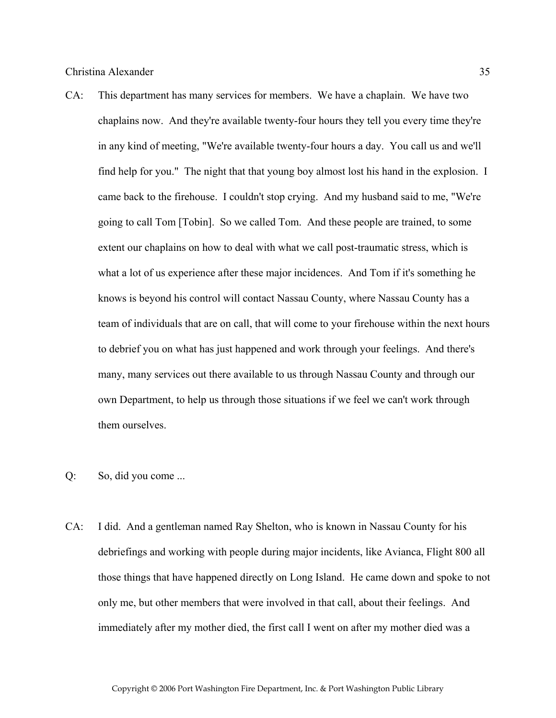CA: This department has many services for members. We have a chaplain. We have two chaplains now. And they're available twenty-four hours they tell you every time they're in any kind of meeting, "We're available twenty-four hours a day. You call us and we'll find help for you." The night that that young boy almost lost his hand in the explosion. I came back to the firehouse. I couldn't stop crying. And my husband said to me, "We're going to call Tom [Tobin]. So we called Tom. And these people are trained, to some extent our chaplains on how to deal with what we call post-traumatic stress, which is what a lot of us experience after these major incidences. And Tom if it's something he knows is beyond his control will contact Nassau County, where Nassau County has a team of individuals that are on call, that will come to your firehouse within the next hours to debrief you on what has just happened and work through your feelings. And there's many, many services out there available to us through Nassau County and through our own Department, to help us through those situations if we feel we can't work through them ourselves.

## Q: So, did you come ...

CA: I did. And a gentleman named Ray Shelton, who is known in Nassau County for his debriefings and working with people during major incidents, like Avianca, Flight 800 all those things that have happened directly on Long Island. He came down and spoke to not only me, but other members that were involved in that call, about their feelings. And immediately after my mother died, the first call I went on after my mother died was a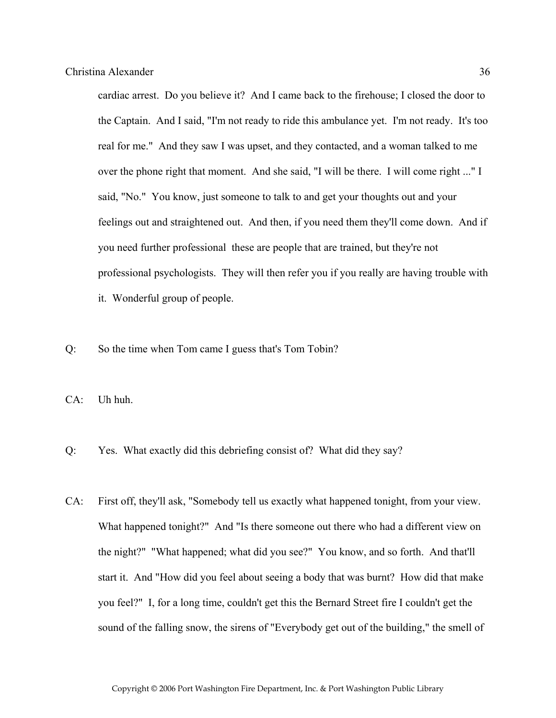cardiac arrest. Do you believe it? And I came back to the firehouse; I closed the door to the Captain. And I said, "I'm not ready to ride this ambulance yet. I'm not ready. It's too real for me." And they saw I was upset, and they contacted, and a woman talked to me over the phone right that moment. And she said, "I will be there. I will come right ..." I said, "No." You know, just someone to talk to and get your thoughts out and your feelings out and straightened out. And then, if you need them they'll come down. And if you need further professional these are people that are trained, but they're not professional psychologists. They will then refer you if you really are having trouble with it. Wonderful group of people.

Q: So the time when Tom came I guess that's Tom Tobin?

CA: Uh huh.

- Q: Yes. What exactly did this debriefing consist of? What did they say?
- CA: First off, they'll ask, "Somebody tell us exactly what happened tonight, from your view. What happened tonight?" And "Is there someone out there who had a different view on the night?" "What happened; what did you see?" You know, and so forth. And that'll start it. And "How did you feel about seeing a body that was burnt? How did that make you feel?" I, for a long time, couldn't get this the Bernard Street fire I couldn't get the sound of the falling snow, the sirens of "Everybody get out of the building," the smell of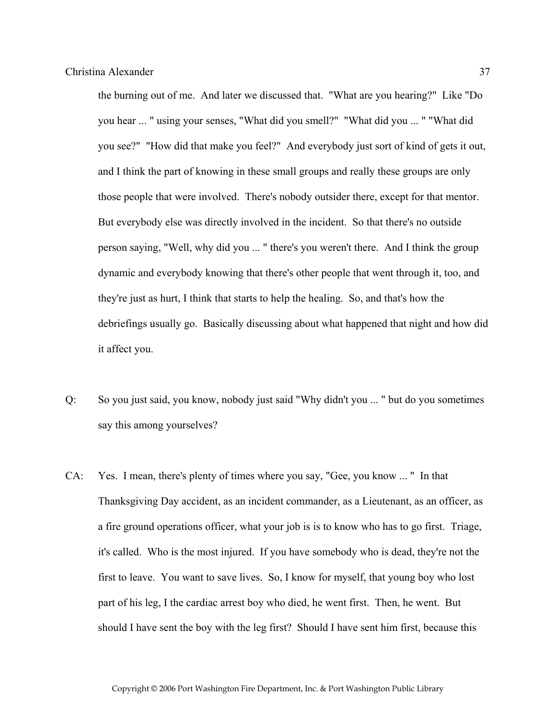the burning out of me. And later we discussed that. "What are you hearing?" Like "Do you hear ... " using your senses, "What did you smell?" "What did you ... " "What did you see?" "How did that make you feel?" And everybody just sort of kind of gets it out, and I think the part of knowing in these small groups and really these groups are only those people that were involved. There's nobody outsider there, except for that mentor. But everybody else was directly involved in the incident. So that there's no outside person saying, "Well, why did you ... " there's you weren't there. And I think the group dynamic and everybody knowing that there's other people that went through it, too, and they're just as hurt, I think that starts to help the healing. So, and that's how the debriefings usually go. Basically discussing about what happened that night and how did it affect you.

- Q: So you just said, you know, nobody just said "Why didn't you ... " but do you sometimes say this among yourselves?
- CA: Yes. I mean, there's plenty of times where you say, "Gee, you know ... " In that Thanksgiving Day accident, as an incident commander, as a Lieutenant, as an officer, as a fire ground operations officer, what your job is is to know who has to go first. Triage, it's called. Who is the most injured. If you have somebody who is dead, they're not the first to leave. You want to save lives. So, I know for myself, that young boy who lost part of his leg, I the cardiac arrest boy who died, he went first. Then, he went. But should I have sent the boy with the leg first? Should I have sent him first, because this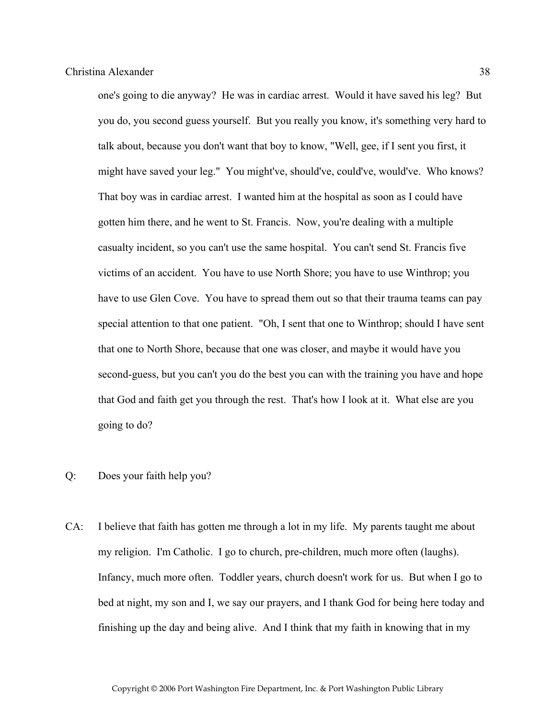one's going to die anyway? He was in cardiac arrest. Would it have saved his leg? But you do, you second guess yourself. But you really you know, it's something very hard to talk about, because you don't want that boy to know, "Well, gee, if I sent you first, it might have saved your leg." You might've, should've, could've, would've. Who knows? That boy was in cardiac arrest. I wanted him at the hospital as soon as I could have gotten him there, and he went to St. Francis. Now, you're dealing with a multiple casualty incident, so you can't use the same hospital. You can't send St. Francis five victims of an accident. You have to use North Shore; you have to use Winthrop; you have to use Glen Cove. You have to spread them out so that their trauma teams can pay special attention to that one patient. "Oh, I sent that one to Winthrop; should I have sent that one to North Shore, because that one was closer, and maybe it would have you second-guess, but you can't you do the best you can with the training you have and hope that God and faith get you through the rest. That's how I look at it. What else are you going to do?

## Q: Does your faith help you?

CA: I believe that faith has gotten me through a lot in my life. My parents taught me about my religion. I'm Catholic. I go to church, pre-children, much more often (laughs). Infancy, much more often. Toddler years, church doesn't work for us. But when I go to bed at night, my son and I, we say our prayers, and I thank God for being here today and finishing up the day and being alive. And I think that my faith in knowing that in my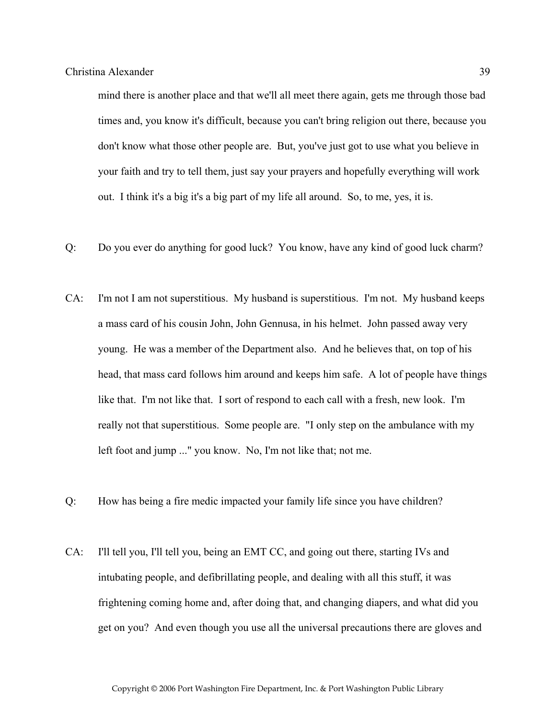mind there is another place and that we'll all meet there again, gets me through those bad times and, you know it's difficult, because you can't bring religion out there, because you don't know what those other people are. But, you've just got to use what you believe in your faith and try to tell them, just say your prayers and hopefully everything will work out. I think it's a big it's a big part of my life all around. So, to me, yes, it is.

- Q: Do you ever do anything for good luck? You know, have any kind of good luck charm?
- CA: I'm not I am not superstitious. My husband is superstitious. I'm not. My husband keeps a mass card of his cousin John, John Gennusa, in his helmet. John passed away very young. He was a member of the Department also. And he believes that, on top of his head, that mass card follows him around and keeps him safe. A lot of people have things like that. I'm not like that. I sort of respond to each call with a fresh, new look. I'm really not that superstitious. Some people are. "I only step on the ambulance with my left foot and jump ..." you know. No, I'm not like that; not me.
- Q: How has being a fire medic impacted your family life since you have children?
- CA: I'll tell you, I'll tell you, being an EMT CC, and going out there, starting IVs and intubating people, and defibrillating people, and dealing with all this stuff, it was frightening coming home and, after doing that, and changing diapers, and what did you get on you? And even though you use all the universal precautions there are gloves and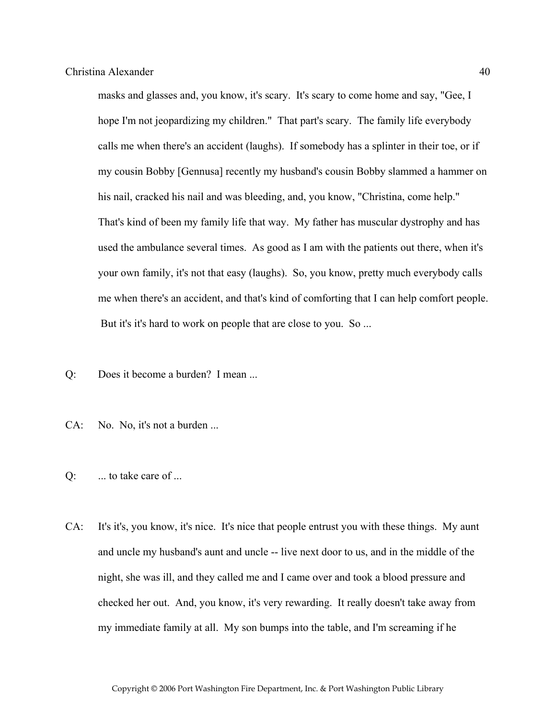masks and glasses and, you know, it's scary. It's scary to come home and say, "Gee, I hope I'm not jeopardizing my children." That part's scary. The family life everybody calls me when there's an accident (laughs). If somebody has a splinter in their toe, or if my cousin Bobby [Gennusa] recently my husband's cousin Bobby slammed a hammer on his nail, cracked his nail and was bleeding, and, you know, "Christina, come help." That's kind of been my family life that way. My father has muscular dystrophy and has used the ambulance several times. As good as I am with the patients out there, when it's your own family, it's not that easy (laughs). So, you know, pretty much everybody calls me when there's an accident, and that's kind of comforting that I can help comfort people. But it's it's hard to work on people that are close to you. So ...

- Q: Does it become a burden? I mean ...
- CA: No. No, it's not a burden ...
- $Q$ :  $\ldots$  to take care of  $\ldots$
- CA: It's it's, you know, it's nice. It's nice that people entrust you with these things. My aunt and uncle my husband's aunt and uncle -- live next door to us, and in the middle of the night, she was ill, and they called me and I came over and took a blood pressure and checked her out. And, you know, it's very rewarding. It really doesn't take away from my immediate family at all. My son bumps into the table, and I'm screaming if he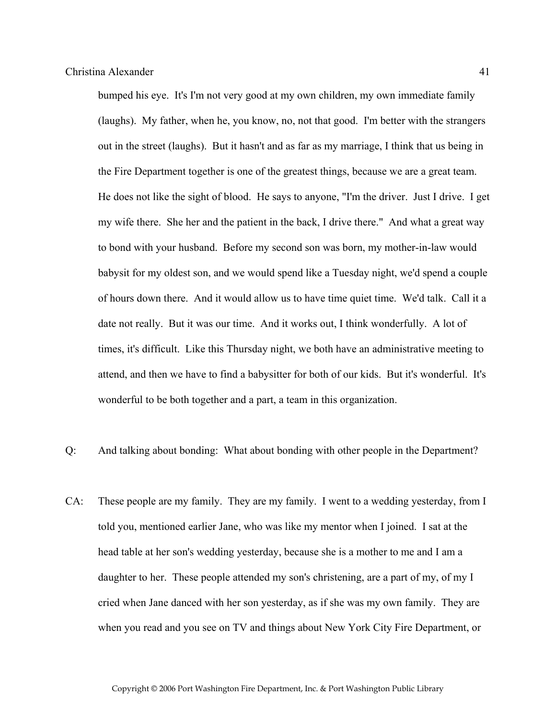bumped his eye. It's I'm not very good at my own children, my own immediate family (laughs). My father, when he, you know, no, not that good. I'm better with the strangers out in the street (laughs). But it hasn't and as far as my marriage, I think that us being in the Fire Department together is one of the greatest things, because we are a great team. He does not like the sight of blood. He says to anyone, "I'm the driver. Just I drive. I get my wife there. She her and the patient in the back, I drive there." And what a great way to bond with your husband. Before my second son was born, my mother-in-law would babysit for my oldest son, and we would spend like a Tuesday night, we'd spend a couple of hours down there. And it would allow us to have time quiet time. We'd talk. Call it a date not really. But it was our time. And it works out, I think wonderfully. A lot of times, it's difficult. Like this Thursday night, we both have an administrative meeting to attend, and then we have to find a babysitter for both of our kids. But it's wonderful. It's wonderful to be both together and a part, a team in this organization.

- Q: And talking about bonding: What about bonding with other people in the Department?
- CA: These people are my family. They are my family. I went to a wedding yesterday, from I told you, mentioned earlier Jane, who was like my mentor when I joined. I sat at the head table at her son's wedding yesterday, because she is a mother to me and I am a daughter to her. These people attended my son's christening, are a part of my, of my I cried when Jane danced with her son yesterday, as if she was my own family. They are when you read and you see on TV and things about New York City Fire Department, or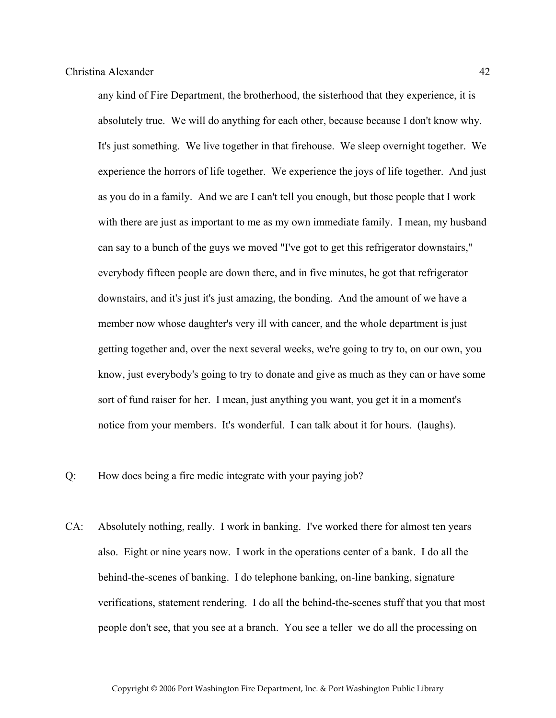any kind of Fire Department, the brotherhood, the sisterhood that they experience, it is absolutely true. We will do anything for each other, because because I don't know why. It's just something. We live together in that firehouse. We sleep overnight together. We experience the horrors of life together. We experience the joys of life together. And just as you do in a family. And we are I can't tell you enough, but those people that I work with there are just as important to me as my own immediate family. I mean, my husband can say to a bunch of the guys we moved "I've got to get this refrigerator downstairs," everybody fifteen people are down there, and in five minutes, he got that refrigerator downstairs, and it's just it's just amazing, the bonding. And the amount of we have a member now whose daughter's very ill with cancer, and the whole department is just getting together and, over the next several weeks, we're going to try to, on our own, you know, just everybody's going to try to donate and give as much as they can or have some sort of fund raiser for her. I mean, just anything you want, you get it in a moment's notice from your members. It's wonderful. I can talk about it for hours. (laughs).

Q: How does being a fire medic integrate with your paying job?

CA: Absolutely nothing, really. I work in banking. I've worked there for almost ten years also. Eight or nine years now. I work in the operations center of a bank. I do all the behind-the-scenes of banking. I do telephone banking, on-line banking, signature verifications, statement rendering. I do all the behind-the-scenes stuff that you that most people don't see, that you see at a branch. You see a teller we do all the processing on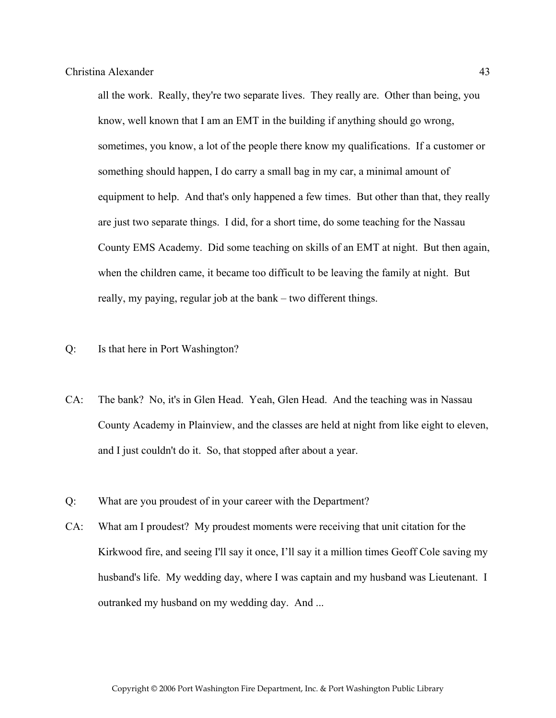all the work. Really, they're two separate lives. They really are. Other than being, you know, well known that I am an EMT in the building if anything should go wrong, sometimes, you know, a lot of the people there know my qualifications. If a customer or something should happen, I do carry a small bag in my car, a minimal amount of equipment to help. And that's only happened a few times. But other than that, they really are just two separate things. I did, for a short time, do some teaching for the Nassau County EMS Academy. Did some teaching on skills of an EMT at night. But then again, when the children came, it became too difficult to be leaving the family at night. But really, my paying, regular job at the bank – two different things.

- Q: Is that here in Port Washington?
- CA: The bank? No, it's in Glen Head. Yeah, Glen Head. And the teaching was in Nassau County Academy in Plainview, and the classes are held at night from like eight to eleven, and I just couldn't do it. So, that stopped after about a year.
- Q: What are you proudest of in your career with the Department?
- CA: What am I proudest? My proudest moments were receiving that unit citation for the Kirkwood fire, and seeing I'll say it once, I'll say it a million times Geoff Cole saving my husband's life. My wedding day, where I was captain and my husband was Lieutenant. I outranked my husband on my wedding day. And ...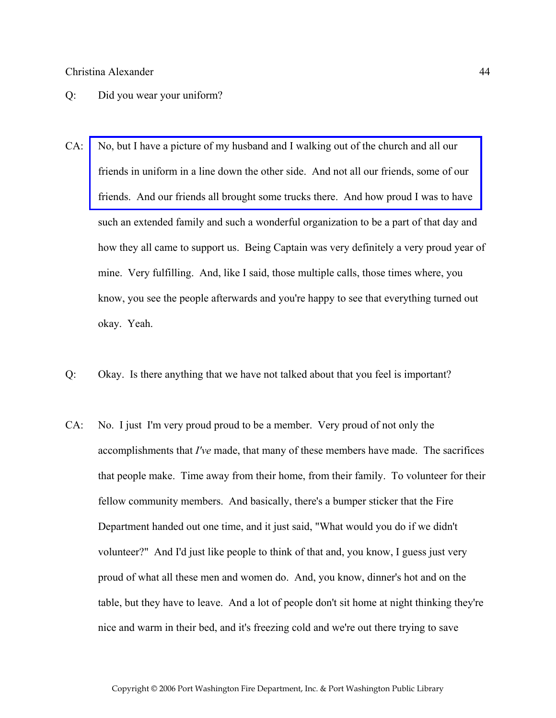#### Q: Did you wear your uniform?

- CA: No, but I have a picture of my husband and I walking out of the church and all our friends in uniform in a line down the other side. And not all our friends, some of our [friends. And our friends all brought some trucks there. And how proud I was to have](http://www.pwfdhistory.com/trans/alexanderc_trans/alexanderc_wedding.jpg)  such an extended family and such a wonderful organization to be a part of that day and how they all came to support us. Being Captain was very definitely a very proud year of mine. Very fulfilling. And, like I said, those multiple calls, those times where, you know, you see the people afterwards and you're happy to see that everything turned out okay. Yeah.
- Q: Okay. Is there anything that we have not talked about that you feel is important?
- CA: No. I just I'm very proud proud to be a member. Very proud of not only the accomplishments that *I've* made, that many of these members have made. The sacrifices that people make. Time away from their home, from their family. To volunteer for their fellow community members. And basically, there's a bumper sticker that the Fire Department handed out one time, and it just said, "What would you do if we didn't volunteer?" And I'd just like people to think of that and, you know, I guess just very proud of what all these men and women do. And, you know, dinner's hot and on the table, but they have to leave. And a lot of people don't sit home at night thinking they're nice and warm in their bed, and it's freezing cold and we're out there trying to save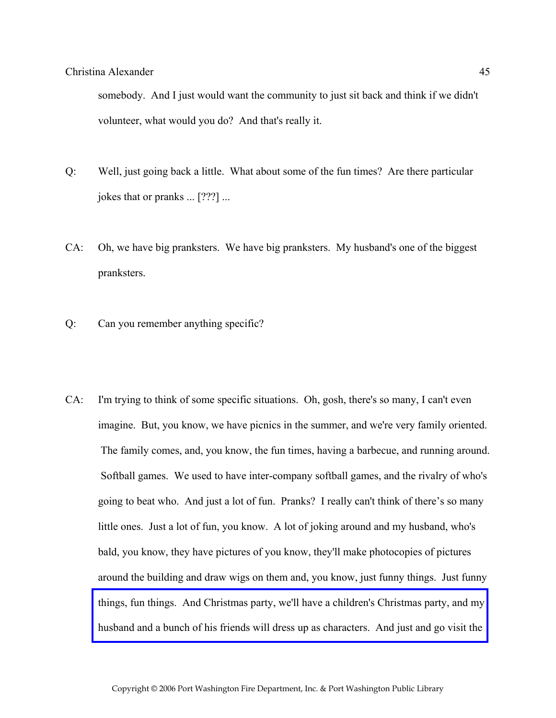somebody. And I just would want the community to just sit back and think if we didn't volunteer, what would you do? And that's really it.

- Q: Well, just going back a little. What about some of the fun times? Are there particular jokes that or pranks ... [???] ...
- CA: Oh, we have big pranksters. We have big pranksters. My husband's one of the biggest pranksters.
- Q: Can you remember anything specific?
- CA: I'm trying to think of some specific situations. Oh, gosh, there's so many, I can't even imagine. But, you know, we have picnics in the summer, and we're very family oriented. The family comes, and, you know, the fun times, having a barbecue, and running around. Softball games. We used to have inter-company softball games, and the rivalry of who's going to beat who. And just a lot of fun. Pranks? I really can't think of there's so many little ones. Just a lot of fun, you know. A lot of joking around and my husband, who's bald, you know, they have pictures of you know, they'll make photocopies of pictures around the building and draw wigs on them and, you know, just funny things. Just funny [things, fun things. And Christmas party, we'll have a children's Christmas party, and my](http://www.pwfdhistory.com/trans/alexanderc_trans/ahlco_members14.jpg)  husband and a bunch of his friends will dress up as characters. And just and go visit the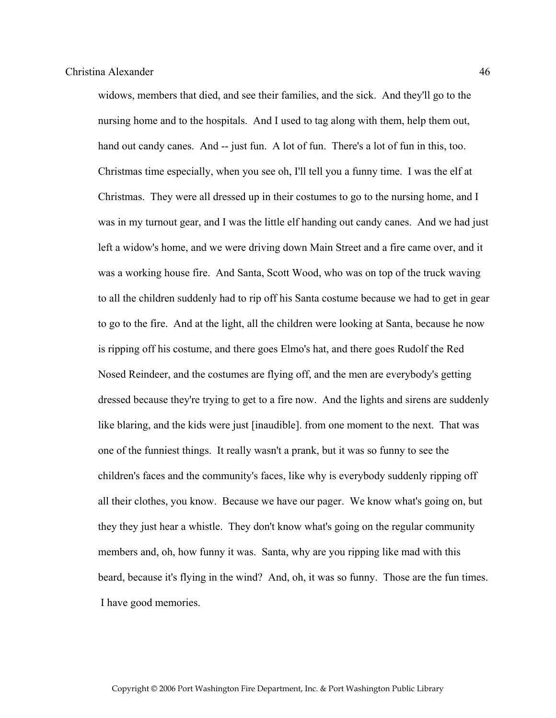widows, members that died, and see their families, and the sick. And they'll go to the nursing home and to the hospitals. And I used to tag along with them, help them out, hand out candy canes. And -- just fun. A lot of fun. There's a lot of fun in this, too. Christmas time especially, when you see oh, I'll tell you a funny time. I was the elf at Christmas. They were all dressed up in their costumes to go to the nursing home, and I was in my turnout gear, and I was the little elf handing out candy canes. And we had just left a widow's home, and we were driving down Main Street and a fire came over, and it was a working house fire. And Santa, Scott Wood, who was on top of the truck waving to all the children suddenly had to rip off his Santa costume because we had to get in gear to go to the fire. And at the light, all the children were looking at Santa, because he now is ripping off his costume, and there goes Elmo's hat, and there goes Rudolf the Red Nosed Reindeer, and the costumes are flying off, and the men are everybody's getting dressed because they're trying to get to a fire now. And the lights and sirens are suddenly like blaring, and the kids were just [inaudible]. from one moment to the next. That was one of the funniest things. It really wasn't a prank, but it was so funny to see the children's faces and the community's faces, like why is everybody suddenly ripping off all their clothes, you know. Because we have our pager. We know what's going on, but they they just hear a whistle. They don't know what's going on the regular community members and, oh, how funny it was. Santa, why are you ripping like mad with this beard, because it's flying in the wind? And, oh, it was so funny. Those are the fun times. I have good memories.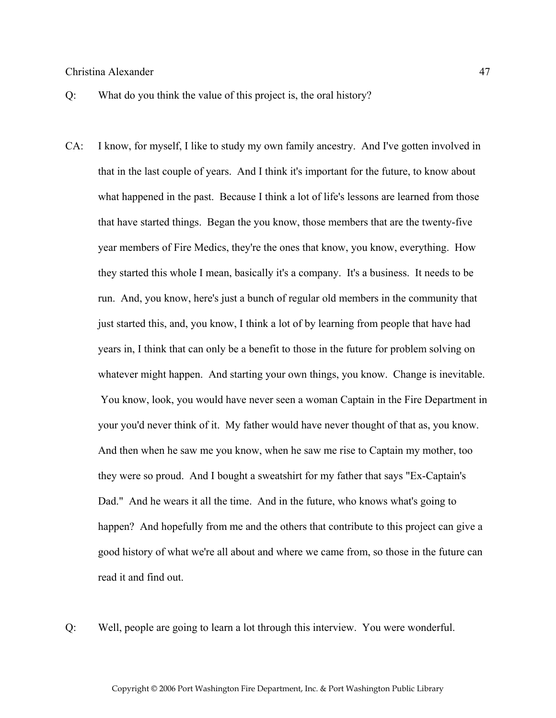- Q: What do you think the value of this project is, the oral history?
- CA: I know, for myself, I like to study my own family ancestry. And I've gotten involved in that in the last couple of years. And I think it's important for the future, to know about what happened in the past. Because I think a lot of life's lessons are learned from those that have started things. Began the you know, those members that are the twenty-five year members of Fire Medics, they're the ones that know, you know, everything. How they started this whole I mean, basically it's a company. It's a business. It needs to be run. And, you know, here's just a bunch of regular old members in the community that just started this, and, you know, I think a lot of by learning from people that have had years in, I think that can only be a benefit to those in the future for problem solving on whatever might happen. And starting your own things, you know. Change is inevitable. You know, look, you would have never seen a woman Captain in the Fire Department in your you'd never think of it. My father would have never thought of that as, you know. And then when he saw me you know, when he saw me rise to Captain my mother, too they were so proud. And I bought a sweatshirt for my father that says "Ex-Captain's Dad." And he wears it all the time. And in the future, who knows what's going to happen? And hopefully from me and the others that contribute to this project can give a good history of what we're all about and where we came from, so those in the future can read it and find out.

Q: Well, people are going to learn a lot through this interview. You were wonderful.